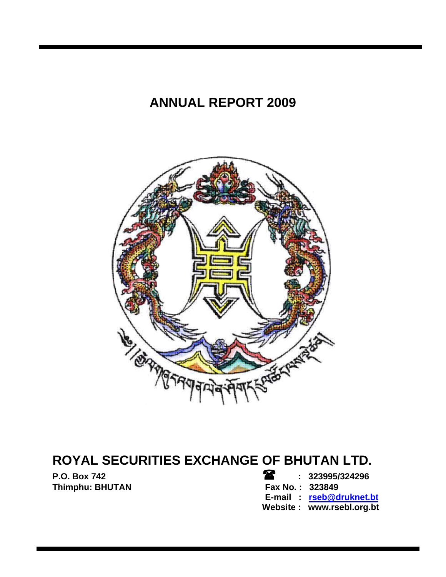# **ANNUAL REPORT 2009**



# **ROYAL SECURITIES EXCHANGE OF BHUTAN LTD.**

**P.O. Box 742 : 323995/324296**  Thimphu: BHUTAN **Fax No. : 323849** 

 **E-mail : rseb@druknet.bt Website : www.rsebl.org.bt**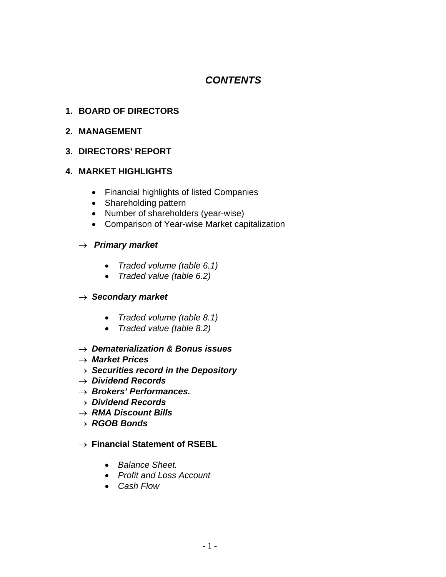# *CONTENTS*

# **1. BOARD OF DIRECTORS**

# **2. MANAGEMENT**

# **3. DIRECTORS' REPORT**

# **4. MARKET HIGHLIGHTS**

- Financial highlights of listed Companies
- Shareholding pattern
- Number of shareholders (year-wise)
- Comparison of Year-wise Market capitalization

#### → *Primary market*

- *Traded volume (table 6.1)*
- *Traded value (table 6.2)*

# → *Secondary market*

- *Traded volume (table 8.1)*
- *Traded value (table 8.2)*
- → *Dematerialization & Bonus issues*
- → *Market Prices*
- → *Securities record in the Depository*
- → *Dividend Records*
- → *Brokers' Performances.*
- → *Dividend Records*
- → *RMA Discount Bills*
- → *RGOB Bonds*

#### → **Financial Statement of RSEBL**

- *Balance Sheet.*
- *Profit and Loss Account*
- *Cash Flow*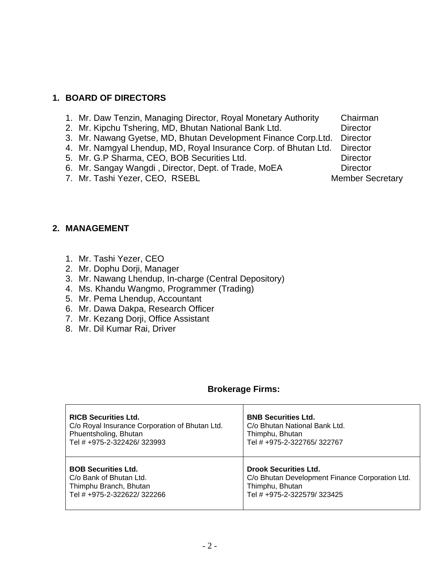# **1. BOARD OF DIRECTORS**

- 1. Mr. Daw Tenzin, Managing Director, Royal Monetary Authority Chairman
- 2. Mr. Kipchu Tshering, MD, Bhutan National Bank Ltd. Director
- 3. Mr. Nawang Gyetse, MD, Bhutan Development Finance Corp.Ltd. Director
- 4. Mr. Namgyal Lhendup, MD, Royal Insurance Corp. of Bhutan Ltd. Director
- 5. Mr. G.P Sharma, CEO, BOB Securities Ltd. Director
- 6. Mr. Sangay Wangdi, Director, Dept. of Trade, MoEA Director
- 7. Mr. Tashi Yezer, CEO, RSEBL Member Secretary

# **2. MANAGEMENT**

- 1. Mr. Tashi Yezer, CEO
- 2. Mr. Dophu Dorji, Manager
- 3. Mr. Nawang Lhendup, In-charge (Central Depository)
- 4. Ms. Khandu Wangmo, Programmer (Trading)
- 5. Mr. Pema Lhendup, Accountant
- 6. Mr. Dawa Dakpa, Research Officer
- 7. Mr. Kezang Dorji, Office Assistant
- 8. Mr. Dil Kumar Rai, Driver

#### **Brokerage Firms:**

| <b>RICB Securities Ltd.</b>                    | <b>BNB Securities Ltd.</b>                      |
|------------------------------------------------|-------------------------------------------------|
| C/o Royal Insurance Corporation of Bhutan Ltd. | C/o Bhutan National Bank Ltd.                   |
| Phuentsholing, Bhutan                          | Thimphu, Bhutan                                 |
| Tel # +975-2-322426/323993                     | Tel # +975-2-322765/322767                      |
| <b>BOB Securities Ltd.</b>                     | <b>Drook Securities Ltd.</b>                    |
| C/o Bank of Bhutan Ltd.                        | C/o Bhutan Development Finance Corporation Ltd. |
| Thimphu Branch, Bhutan                         | Thimphu, Bhutan                                 |
| Tel # +975-2-322622/322266                     | Tel # +975-2-322579/323425                      |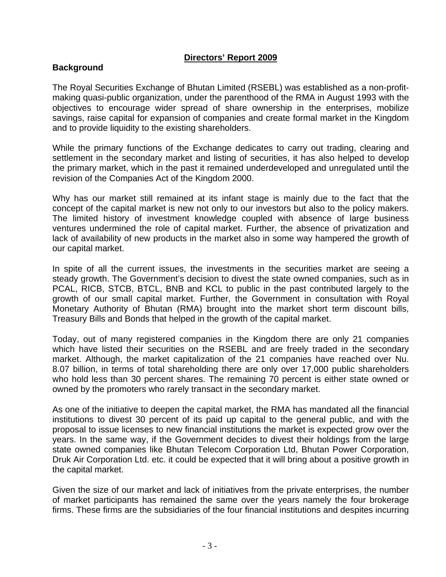# **Directors' Report 2009**

# **Background**

The Royal Securities Exchange of Bhutan Limited (RSEBL) was established as a non-profitmaking quasi-public organization, under the parenthood of the RMA in August 1993 with the objectives to encourage wider spread of share ownership in the enterprises, mobilize savings, raise capital for expansion of companies and create formal market in the Kingdom and to provide liquidity to the existing shareholders.

While the primary functions of the Exchange dedicates to carry out trading, clearing and settlement in the secondary market and listing of securities, it has also helped to develop the primary market, which in the past it remained underdeveloped and unregulated until the revision of the Companies Act of the Kingdom 2000.

Why has our market still remained at its infant stage is mainly due to the fact that the concept of the capital market is new not only to our investors but also to the policy makers. The limited history of investment knowledge coupled with absence of large business ventures undermined the role of capital market. Further, the absence of privatization and lack of availability of new products in the market also in some way hampered the growth of our capital market.

In spite of all the current issues, the investments in the securities market are seeing a steady growth. The Government's decision to divest the state owned companies, such as in PCAL, RICB, STCB, BTCL, BNB and KCL to public in the past contributed largely to the growth of our small capital market. Further, the Government in consultation with Royal Monetary Authority of Bhutan (RMA) brought into the market short term discount bills, Treasury Bills and Bonds that helped in the growth of the capital market.

Today, out of many registered companies in the Kingdom there are only 21 companies which have listed their securities on the RSEBL and are freely traded in the secondary market. Although, the market capitalization of the 21 companies have reached over Nu. 8.07 billion, in terms of total shareholding there are only over 17,000 public shareholders who hold less than 30 percent shares. The remaining 70 percent is either state owned or owned by the promoters who rarely transact in the secondary market.

As one of the initiative to deepen the capital market, the RMA has mandated all the financial institutions to divest 30 percent of its paid up capital to the general public, and with the proposal to issue licenses to new financial institutions the market is expected grow over the years. In the same way, if the Government decides to divest their holdings from the large state owned companies like Bhutan Telecom Corporation Ltd, Bhutan Power Corporation, Druk Air Corporation Ltd. etc. it could be expected that it will bring about a positive growth in the capital market.

Given the size of our market and lack of initiatives from the private enterprises, the number of market participants has remained the same over the years namely the four brokerage firms. These firms are the subsidiaries of the four financial institutions and despites incurring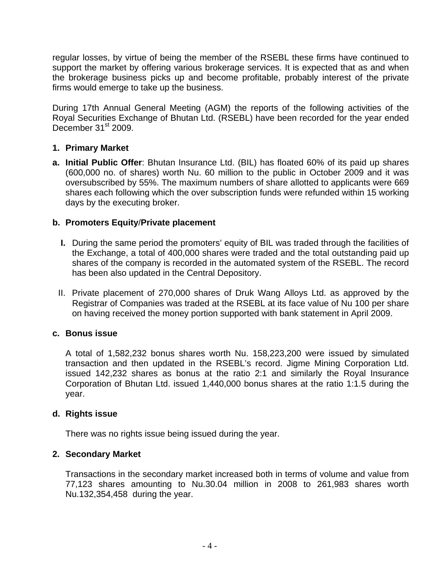regular losses, by virtue of being the member of the RSEBL these firms have continued to support the market by offering various brokerage services. It is expected that as and when the brokerage business picks up and become profitable, probably interest of the private firms would emerge to take up the business.

During 17th Annual General Meeting (AGM) the reports of the following activities of the Royal Securities Exchange of Bhutan Ltd. (RSEBL) have been recorded for the year ended December  $31<sup>st</sup>$  2009.

#### **1. Primary Market**

**a. Initial Public Offer**: Bhutan Insurance Ltd. (BIL) has floated 60% of its paid up shares (600,000 no. of shares) worth Nu. 60 million to the public in October 2009 and it was oversubscribed by 55%. The maximum numbers of share allotted to applicants were 669 shares each following which the over subscription funds were refunded within 15 working days by the executing broker.

#### **b. Promoters Equity**/**Private placement**

- **I.** During the same period the promoters' equity of BIL was traded through the facilities of the Exchange, a total of 400,000 shares were traded and the total outstanding paid up shares of the company is recorded in the automated system of the RSEBL. The record has been also updated in the Central Depository.
- II. Private placement of 270,000 shares of Druk Wang Alloys Ltd. as approved by the Registrar of Companies was traded at the RSEBL at its face value of Nu 100 per share on having received the money portion supported with bank statement in April 2009.

#### **c. Bonus issue**

A total of 1,582,232 bonus shares worth Nu. 158,223,200 were issued by simulated transaction and then updated in the RSEBL's record. Jigme Mining Corporation Ltd. issued 142,232 shares as bonus at the ratio 2:1 and similarly the Royal Insurance Corporation of Bhutan Ltd. issued 1,440,000 bonus shares at the ratio 1:1.5 during the year.

#### **d. Rights issue**

There was no rights issue being issued during the year.

#### **2. Secondary Market**

Transactions in the secondary market increased both in terms of volume and value from 77,123 shares amounting to Nu.30.04 million in 2008 to 261,983 shares worth Nu.132,354,458 during the year.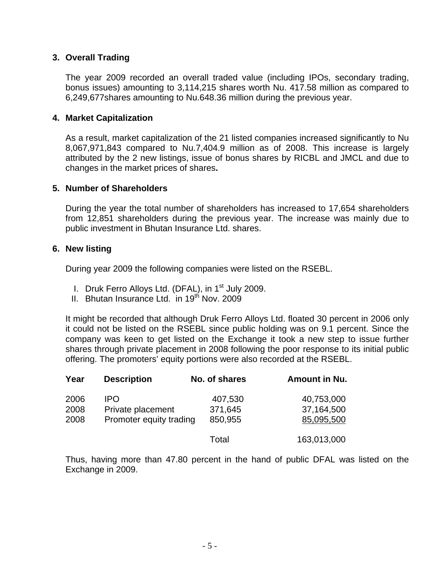#### **3. Overall Trading**

The year 2009 recorded an overall traded value (including IPOs, secondary trading, bonus issues) amounting to 3,114,215 shares worth Nu. 417.58 million as compared to 6,249,677shares amounting to Nu.648.36 million during the previous year.

#### **4. Market Capitalization**

As a result, market capitalization of the 21 listed companies increased significantly to Nu 8,067,971,843 compared to Nu.7,404.9 million as of 2008. This increase is largely attributed by the 2 new listings, issue of bonus shares by RICBL and JMCL and due to changes in the market prices of shares**.** 

#### **5. Number of Shareholders**

During the year the total number of shareholders has increased to 17,654 shareholders from 12,851 shareholders during the previous year. The increase was mainly due to public investment in Bhutan Insurance Ltd. shares.

# **6. New listing**

During year 2009 the following companies were listed on the RSEBL.

- I. Druk Ferro Alloys Ltd. (DFAL), in  $1<sup>st</sup>$  July 2009.
- II. Bhutan Insurance Ltd. in  $19<sup>th</sup>$  Nov. 2009

It might be recorded that although Druk Ferro Alloys Ltd. floated 30 percent in 2006 only it could not be listed on the RSEBL since public holding was on 9.1 percent. Since the company was keen to get listed on the Exchange it took a new step to issue further shares through private placement in 2008 following the poor response to its initial public offering. The promoters' equity portions were also recorded at the RSEBL.

| Year                 | <b>Description</b>                                   | No. of shares                 | <b>Amount in Nu.</b>                   |
|----------------------|------------------------------------------------------|-------------------------------|----------------------------------------|
| 2006<br>2008<br>2008 | IPO.<br>Private placement<br>Promoter equity trading | 407,530<br>371,645<br>850,955 | 40,753,000<br>37,164,500<br>85,095,500 |
|                      |                                                      | Total                         | 163,013,000                            |

Thus, having more than 47.80 percent in the hand of public DFAL was listed on the Exchange in 2009.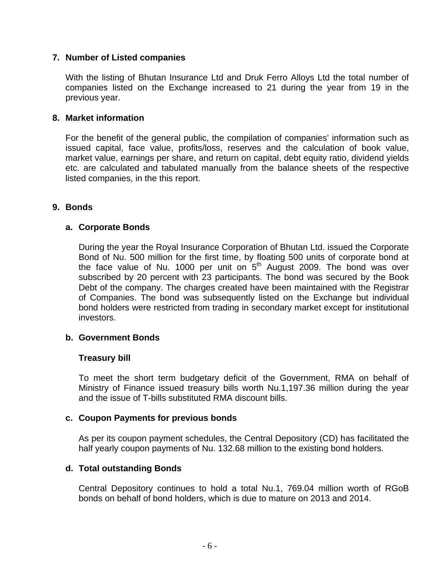## **7. Number of Listed companies**

With the listing of Bhutan Insurance Ltd and Druk Ferro Alloys Ltd the total number of companies listed on the Exchange increased to 21 during the year from 19 in the previous year.

#### **8. Market information**

For the benefit of the general public, the compilation of companies' information such as issued capital, face value, profits/loss, reserves and the calculation of book value, market value, earnings per share, and return on capital, debt equity ratio, dividend yields etc. are calculated and tabulated manually from the balance sheets of the respective listed companies, in the this report.

# **9. Bonds**

#### **a. Corporate Bonds**

During the year the Royal Insurance Corporation of Bhutan Ltd. issued the Corporate Bond of Nu. 500 million for the first time, by floating 500 units of corporate bond at the face value of Nu. 1000 per unit on  $5<sup>th</sup>$  August 2009. The bond was over subscribed by 20 percent with 23 participants. The bond was secured by the Book Debt of the company. The charges created have been maintained with the Registrar of Companies. The bond was subsequently listed on the Exchange but individual bond holders were restricted from trading in secondary market except for institutional investors.

#### **b. Government Bonds**

#### **Treasury bill**

To meet the short term budgetary deficit of the Government, RMA on behalf of Ministry of Finance issued treasury bills worth Nu.1,197.36 million during the year and the issue of T-bills substituted RMA discount bills.

#### **c. Coupon Payments for previous bonds**

As per its coupon payment schedules, the Central Depository (CD) has facilitated the half yearly coupon payments of Nu. 132.68 million to the existing bond holders.

# **d. Total outstanding Bonds**

Central Depository continues to hold a total Nu.1, 769.04 million worth of RGoB bonds on behalf of bond holders, which is due to mature on 2013 and 2014.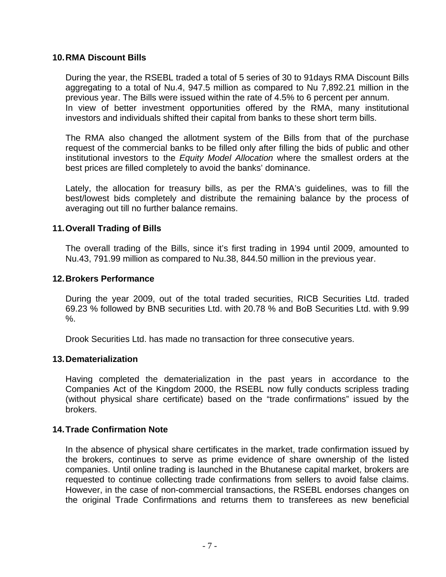#### **10. RMA Discount Bills**

During the year, the RSEBL traded a total of 5 series of 30 to 91days RMA Discount Bills aggregating to a total of Nu.4, 947.5 million as compared to Nu 7,892.21 million in the previous year. The Bills were issued within the rate of 4.5% to 6 percent per annum. In view of better investment opportunities offered by the RMA, many institutional investors and individuals shifted their capital from banks to these short term bills.

The RMA also changed the allotment system of the Bills from that of the purchase request of the commercial banks to be filled only after filling the bids of public and other institutional investors to the *Equity Model Allocation* where the smallest orders at the best prices are filled completely to avoid the banks' dominance.

Lately, the allocation for treasury bills, as per the RMA's guidelines, was to fill the best/lowest bids completely and distribute the remaining balance by the process of averaging out till no further balance remains.

#### **11. Overall Trading of Bills**

The overall trading of the Bills, since it's first trading in 1994 until 2009, amounted to Nu.43, 791.99 million as compared to Nu.38, 844.50 million in the previous year.

#### **12. Brokers Performance**

During the year 2009, out of the total traded securities, RICB Securities Ltd. traded 69.23 % followed by BNB securities Ltd. with 20.78 % and BoB Securities Ltd. with 9.99 %.

Drook Securities Ltd. has made no transaction for three consecutive years.

#### **13. Dematerialization**

Having completed the dematerialization in the past years in accordance to the Companies Act of the Kingdom 2000, the RSEBL now fully conducts scripless trading (without physical share certificate) based on the "trade confirmations" issued by the brokers.

#### **14. Trade Confirmation Note**

In the absence of physical share certificates in the market, trade confirmation issued by the brokers, continues to serve as prime evidence of share ownership of the listed companies. Until online trading is launched in the Bhutanese capital market, brokers are requested to continue collecting trade confirmations from sellers to avoid false claims. However, in the case of non-commercial transactions, the RSEBL endorses changes on the original Trade Confirmations and returns them to transferees as new beneficial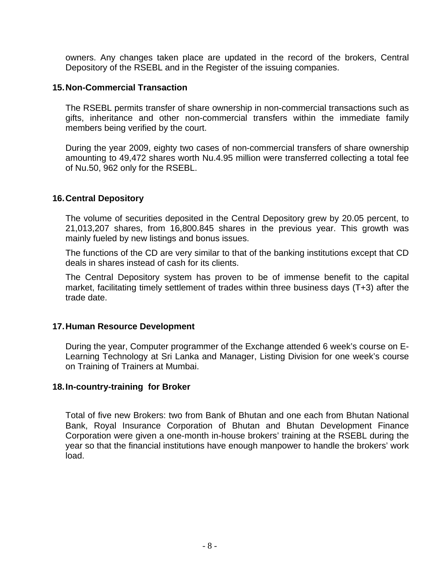owners. Any changes taken place are updated in the record of the brokers, Central Depository of the RSEBL and in the Register of the issuing companies.

#### **15. Non-Commercial Transaction**

The RSEBL permits transfer of share ownership in non-commercial transactions such as gifts, inheritance and other non-commercial transfers within the immediate family members being verified by the court.

During the year 2009, eighty two cases of non-commercial transfers of share ownership amounting to 49,472 shares worth Nu.4.95 million were transferred collecting a total fee of Nu.50, 962 only for the RSEBL.

#### **16. Central Depository**

The volume of securities deposited in the Central Depository grew by 20.05 percent, to 21,013,207 shares, from 16,800.845 shares in the previous year. This growth was mainly fueled by new listings and bonus issues.

The functions of the CD are very similar to that of the banking institutions except that CD deals in shares instead of cash for its clients.

The Central Depository system has proven to be of immense benefit to the capital market, facilitating timely settlement of trades within three business days (T+3) after the trade date.

#### **17. Human Resource Development**

During the year, Computer programmer of the Exchange attended 6 week's course on E-Learning Technology at Sri Lanka and Manager, Listing Division for one week's course on Training of Trainers at Mumbai.

#### **18. In-country-training for Broker**

Total of five new Brokers: two from Bank of Bhutan and one each from Bhutan National Bank, Royal Insurance Corporation of Bhutan and Bhutan Development Finance Corporation were given a one-month in-house brokers' training at the RSEBL during the year so that the financial institutions have enough manpower to handle the brokers' work load.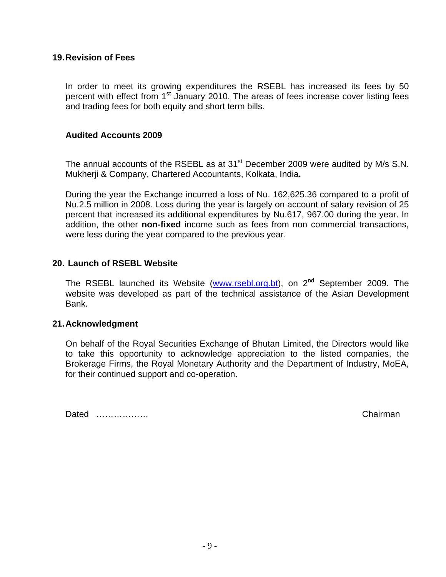#### **19. Revision of Fees**

In order to meet its growing expenditures the RSEBL has increased its fees by 50 percent with effect from 1<sup>st</sup> January 2010. The areas of fees increase cover listing fees and trading fees for both equity and short term bills.

#### **Audited Accounts 2009**

The annual accounts of the RSEBL as at 31<sup>st</sup> December 2009 were audited by M/s S.N. Mukherji & Company, Chartered Accountants, Kolkata, India**.** 

During the year the Exchange incurred a loss of Nu. 162,625.36 compared to a profit of Nu.2.5 million in 2008. Loss during the year is largely on account of salary revision of 25 percent that increased its additional expenditures by Nu.617, 967.00 during the year. In addition, the other **non-fixed** income such as fees from non commercial transactions, were less during the year compared to the previous year.

#### **20. Launch of RSEBL Website**

The RSEBL launched its Website (www.rsebl.org.bt), on  $2^{nd}$  September 2009. The website was developed as part of the technical assistance of the Asian Development Bank.

#### **21. Acknowledgment**

On behalf of the Royal Securities Exchange of Bhutan Limited, the Directors would like to take this opportunity to acknowledge appreciation to the listed companies, the Brokerage Firms, the Royal Monetary Authority and the Department of Industry, MoEA, for their continued support and co-operation.

Dated ……………… Chairman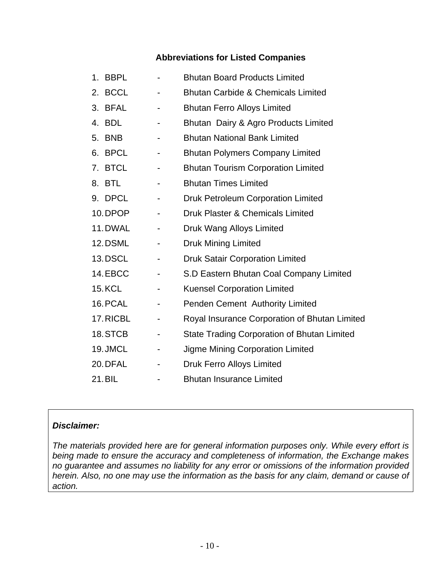# **Abbreviations for Listed Companies**

| 1 <sub>1</sub> | <b>BBPL</b>   |                              | <b>Bhutan Board Products Limited</b>               |
|----------------|---------------|------------------------------|----------------------------------------------------|
| 2.             | <b>BCCL</b>   |                              | <b>Bhutan Carbide &amp; Chemicals Limited</b>      |
| 3.             | <b>BFAL</b>   |                              | <b>Bhutan Ferro Alloys Limited</b>                 |
|                | 4. BDL        | -                            | Bhutan Dairy & Agro Products Limited               |
| 5.             | <b>BNB</b>    | -                            | <b>Bhutan National Bank Limited</b>                |
|                | 6. BPCL       | -                            | <b>Bhutan Polymers Company Limited</b>             |
|                | 7. BTCL       | $\overline{\phantom{a}}$     | <b>Bhutan Tourism Corporation Limited</b>          |
|                | 8. BTL        |                              | <b>Bhutan Times Limited</b>                        |
|                | 9. DPCL       | $\overline{\phantom{a}}$     | Druk Petroleum Corporation Limited                 |
|                | 10. DPOP      |                              | Druk Plaster & Chemicals Limited                   |
|                | 11. DWAL      | $\overline{\phantom{a}}$     | Druk Wang Alloys Limited                           |
|                | 12. DSML      |                              | <b>Druk Mining Limited</b>                         |
|                | 13.DSCL       |                              | <b>Druk Satair Corporation Limited</b>             |
|                | 14.EBCC       |                              | S.D Eastern Bhutan Coal Company Limited            |
|                | <b>15.KCL</b> | $\qquad \qquad \blacksquare$ | <b>Kuensel Corporation Limited</b>                 |
|                | 16. PCAL      |                              | Penden Cement Authority Limited                    |
|                | 17. RICBL     | ۰                            | Royal Insurance Corporation of Bhutan Limited      |
|                | 18.STCB       |                              | <b>State Trading Corporation of Bhutan Limited</b> |
|                | 19. JMCL      |                              | Jigme Mining Corporation Limited                   |
|                | 20. DFAL      |                              | <b>Druk Ferro Alloys Limited</b>                   |
|                | 21. BIL       |                              | <b>Bhutan Insurance Limited</b>                    |

#### *Disclaimer:*

*The materials provided here are for general information purposes only. While every effort is being made to ensure the accuracy and completeness of information, the Exchange makes no guarantee and assumes no liability for any error or omissions of the information provided herein. Also, no one may use the information as the basis for any claim, demand or cause of action.*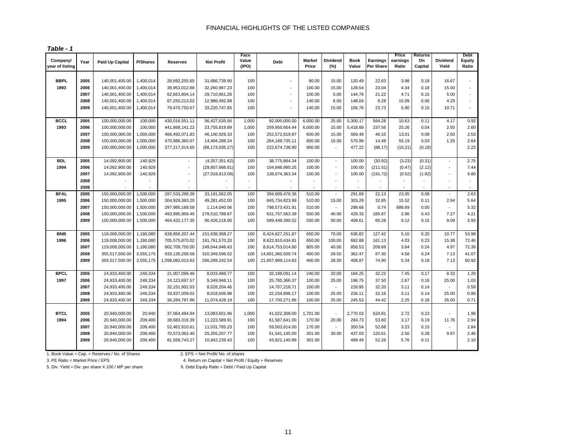|  | Table |  |  |  |
|--|-------|--|--|--|
|--|-------|--|--|--|

| Company/        |      |                        |                 |                                |                   | Face<br>Value  |                   | <b>Market</b> | Dividend                 | <b>Book</b> | Earnings         | Price<br>earnings | Returns<br>On | Dividend                 | Debt<br>Equity |
|-----------------|------|------------------------|-----------------|--------------------------------|-------------------|----------------|-------------------|---------------|--------------------------|-------------|------------------|-------------------|---------------|--------------------------|----------------|
| year of listing | Year | <b>Paid Up Capital</b> | <b>P/Shares</b> | <b>Reserves</b>                | <b>Net Profit</b> | (IPO)          | <b>Debt</b>       | Price         | (%)                      | Value       | <b>Per Share</b> | Ratio             | Capital       | Yield                    | Ratio          |
| <b>BBPL</b>     | 2005 | 140,001,400.00         | 1,400,014       |                                | 31,686,739.90     | 100            | ä,                | 90.00         | 15.00                    | 120.49      | 22.63            | 3.98              | 0.19          | 16.67                    | ä,             |
| 1993            | 2006 | 140,001,400.00         | 1,400,014       | 28,692,255.65<br>39,953,012.88 | 32,260,967.23     | 100            | ä,                | 100.00        | 15.00                    | 128.54      | 23.04            | 4.34              | 0.18          | 15.00                    | ä,             |
|                 | 2007 | 140,001,400.00         | 1,400,014       | 62,663,804.14                  | 29,710,861.26     | 100            | ÷,                | 100.00        | 5.00                     | 144.76      | 21.22            | 4.71              | 0.15          | 5.00                     | $\omega$       |
|                 | 2008 | 140,001,400.00         | 1,400,014       | 67,250,213.02                  | 12,986,492.88     | 100            | $\blacksquare$    | 140.00        | 6.00                     | 148.04      | 9.28             | 15.09             | 0.06          | 4.29                     | ÷.             |
|                 | 2009 | 140,001,400.00         | 1,400,014       | 79,470,750.67                  | 33,220,747.65     | 100            |                   | 140.00        | 15.00                    | 156.76      | 23.73            | 5.90              | 0.15          | 10.71                    | $\omega$       |
|                 |      |                        |                 |                                |                   |                |                   |               |                          |             |                  |                   |               |                          |                |
| <b>BCCL</b>     | 2005 | 100,000,000.00         | 100,000         | 430,016,551.11                 | 56,427,535.56     | 1,000          | 92,000,000.00     | 6,000.00      | 25.00                    | 5,300.17    | 564.28           | 10.63             | 0.11          | 4.17                     | 0.92           |
| 1993            | 2006 | 100,000,000.00         | 100,000         | 441,868,141.22                 | 23,755,819.89     | 1,000          | 259,950,654.44    | 6,000.00      | 15.00                    | 5,418.68    | 237.56           | 25.26             | 0.04          | 2.50                     | 2.60           |
|                 | 2007 | 100,000,000.00         | 1,000,000       | 466,492,071.83                 | 46,100,929.33     | 100            | 252,572,619.87    | 600.00        | 15.00                    | 566.49      | 46.10            | 13.01             | 0.08          | 2.50                     | 2.53           |
|                 | 2008 | 100,000,000.00         | 1,000,000       | 470,986,360.07                 | 14,494,288.24     | 100            | 264, 169, 735. 11 | 800.00        | 10.00                    | 570.99      | 14.49            | 55.19             | 0.03          | 1.25                     | 2.64           |
|                 | 2009 | 100,000,000.00         | 1,000,000       | 377,217,014.65                 | (88, 173, 035.27) | 100            | 222,674,738.90    | 900.00        | $\sim$                   | 477.22      | (88.17)          | (10.21)           | (0.18)        |                          | 2.23           |
| <b>BDL</b>      | 2005 | 14,092,900.00          | 140,929         | ä,                             | (4,357,351.62)    | 100            | 38,775,864.34     | 100.00        | $\blacksquare$           | 100.00      | (30.92)          | (3.23)            | (0.31)        | ä,                       | 2.75           |
| 1994            | 2006 | 14,092,900.00          | 140,929         | ä,                             | (29, 807, 666.81) | 100            | 104,848,990.25    | 100.00        | $\omega$                 | 100.00      | (211.51)         | (0.47)            | (2.12)        |                          | 7.44           |
|                 | 2007 | 14,092,900.00          | 140,929         | $\blacksquare$                 | (27,018,813.09)   | 100            | 138,074,363.34    | 100.00        | $\blacksquare$           | 100.00      | (191.72)         | (0.52)            | (1.92)        | $\overline{\phantom{a}}$ | 9.80           |
|                 | 2008 | $\sim$                 | ÷.              | ä,                             |                   | $\omega$       |                   | ٠             | ÷                        | ٠           |                  |                   | $\mathbf{r}$  | $\overline{a}$           | $\sim$         |
|                 | 2009 |                        |                 |                                |                   | $\blacksquare$ |                   |               | $\blacksquare$           | $\sim$      |                  |                   | $\sim$        |                          | $\sim$         |
| <b>BFAL</b>     | 2005 | 150,000,000.00         | 1,500,000       | 287,533,298.36                 | 33,191,062.05     | 100            | 394,909,478.36    | 510.00        | $\sim$                   | 291.69      | 22.13            | 23.05             | 0.08          | ÷                        | 2.63           |
| 1995            | 2006 | 150,000,000.00         | 1,500,000       | 304,929,383.20                 | 49,281,452.00     | 100            | 845,734,823.99    | 510.00        | 15.00                    | 303.29      | 32.85            | 15.52             | 0.11          | 2.94                     | 5.64           |
|                 | 2007 | 150,000,000.00         | 1,500,000       | 297,985,168.58                 | 1,114,040.56      | 100            | 798,573,431.91    | 510.00        | $\omega$                 | 298.66      | 0.74             | 686.69            | 0.00          |                          | 5.32           |
|                 | 2008 | 150,000,000.00         | 1,500,000       | 493,995,958.45                 | 278,510,789.87    | 100            | 631,757,563.39    | 550.00        | 40.00                    | 429.33      | 185.67           | 2.96              | 0.43          | 7.27                     | 4.21           |
|                 | 2009 | 150,000,000.00         | 1,500,000       | 464,422,177.35                 | 90,426,218.90     | 100            | 589,449,390.52    | 550.00        | 50.00                    | 409.61      | 60.28            | 9.12              | 0.15          | 9.09                     | 3.93           |
| <b>BNB</b>      | 2005 | 119,008,000.00         | 1,190,080       | 638,856,207.44                 | 151,638,368.27    | 100            | 6,424,627,251.87  | 650.00        | 70.00                    | 636.82      | 127.42           | 5.10              | 0.20          | 10.77                    | 53.98          |
| 1996            | 2006 | 119,008,000.00         | 1,190,080       | 705,575,870.02                 | 191,761,570.20    | 100            | 8,622,910,434.81  | 650.00        | 100.00                   | 692.88      | 161.13           | 4.03              | 0.23          | 15.38                    | 72.46          |
|                 | 2007 | 119,008,000.00         | 1,190,080       | 902,709,750.00                 | 249,544,948.43    | 100            | 8,614,753,014.90  | 805.00        | 40.00                    | 858.53      | 209.69           | 3.84              | 0.24          | 4.97                     | 72.39          |
|                 | 2008 | 355,517,500.00         | 3,555,175       | 933, 135, 258.58               | 310,349,596.02    | 100            | 14,601,360,500.74 | 400.00        | 28.50                    | 362.47      | 87.30            | 4.58              | 0.24          | 7.13                     | 41.07          |
|                 | 2009 | 355,517,500.00         | 3,555,175       | 1,098,082,013.62               | 266,269,242.54    | 100            | 21,657,989,114.83 | 400.00        | 28.50                    | 408.87      | 74.90            | 5.34              | 0.18          | 7.13                     | 60.92          |
| <b>BPCL</b>     | 2005 | 24,933,400.00          | 249,334         | 21,007,099.46                  | 8,033,488.77      | 100            | 32,199,091.14     | 240.00        | 20.00                    | 184.25      | 32.22            | 7.45              | 0.17          | 8.33                     | 1.29           |
| 1997            | 2006 | 24,933,400.00          | 249,334         | 24,123,697.57                  | 9,349,948.11      | 100            | 25,785,366.37     | 100.00        | 25.00                    | 196.75      | 37.50            | 2.67              | 0.19          | 25.00                    | 1.03           |
|                 | 2007 | 24,933,400.00          | 249,334         | 32,151,902.03                  | 8,028,204.46      | 100            | 14,707,218.71     | 100.00        | $\sim$                   | 228.95      | 32.20            | 3.11              | 0.14          |                          | 0.59           |
|                 | 2008 | 24,933,400.00          | 249,334         | 33,937,059.02                  | 8,018,506.99      | 100            | 22,234,896.17     | 100.00        | 25.00                    | 236.11      | 32.16            | 3.11              | 0.14          | 25.00                    | 0.89           |
|                 | 2009 | 24,933,400.00          | 249,334         | 36,284,797.86                  | 11,074,428.19     | 100            | 17,700,271.86     | 100.00        | 35.00                    | 245.53      | 44.42            | 2.25              | 0.18          | 35.00                    | 0.71           |
|                 |      |                        |                 |                                |                   |                |                   |               |                          |             |                  |                   |               |                          |                |
| <b>BTCL</b>     | 2005 | 20,940,000.00          | 20,940          | 37,064,484.94                  | 13,083,601.96     | 1,000          | 41,022,309.00     | 1,701.00      | $\sim$                   | 2,770.03    | 624.81           | 2.72              | 0.23          |                          | 1.96           |
| 1994            | 2006 | 20,940,000.00          | 209,400         | 38,683,316.39                  | 11,223,589.91     | 100            | 61,587,641.00     | 170.00        | 20.00                    | 284.73      | 53.60            | 3.17              | 0.19          | 11.76                    | 2.94           |
|                 | 2007 | 20,940,000.00          | 209,400         | 52,462,810.61                  | 11,031,785.23     | 100            | 59,503,614.00     | 170.00        | $\overline{\phantom{a}}$ | 350.54      | 52.68            | 3.23              | 0.15          |                          | 2.84           |
|                 | 2008 | 20,940,000.00          | 209,400         | 70,573,062.40                  | 25,255,207.77     | 100            | 51,541,145.00     | 301.00        | 30.00                    | 437.03      | 120.61           | 2.50              | 0.28          | 9.97                     | 2.46           |
|                 | 2009 | 20,940,000.00          | 209,400         | 81,558,743.27                  | 10,942,239.43     | 100            | 43,921,140.99     | 301.00        |                          | 489.49      | 52.26            | 5.76              | 0.11          |                          | 2.10           |

1. Book Value = Cap. + Reserves / No. of Shares 2. EPS = Net Profit/ No. of shares

3. PE Ratio = Market Price / EPS 4. Return on Capital = Net Profit / Equity + Reserves

5. Div. Yield = Div. per share X 100 / MP per share 6. Debt Equity Ratio = Debt / Paid Up Capital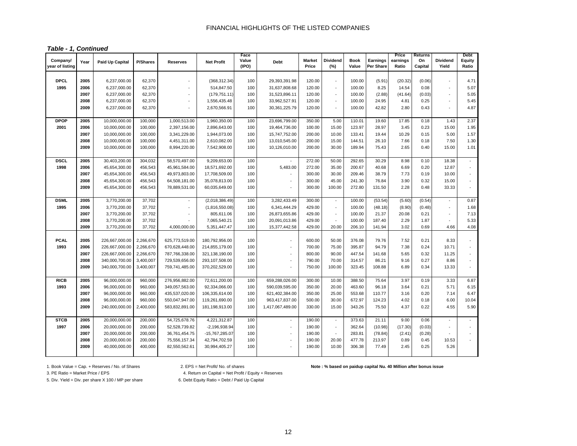| Table - 1, Continued |  |  |
|----------------------|--|--|
|----------------------|--|--|

| Company/        | Year | Paid Up Capital | P/Shares  | <b>Reserves</b>      | <b>Net Profit</b> | Face<br>Value | <b>Debt</b>              | <b>Market</b> | <b>Dividend</b>          | <b>Book</b> | Earnings  | Price<br>earnings | Returns<br>On | <b>Dividend</b>          | Debt<br>Equity              |
|-----------------|------|-----------------|-----------|----------------------|-------------------|---------------|--------------------------|---------------|--------------------------|-------------|-----------|-------------------|---------------|--------------------------|-----------------------------|
| year of listing |      |                 |           |                      |                   | (IPO)         |                          | Price         | (%)                      | Value       | Per Share | Ratio             | Capital       | Yield                    | Ratio                       |
| <b>DPCL</b>     | 2005 | 6,237,000.00    | 62,370    |                      | (368, 312.34)     | 100           | 29,393,391.98            | 120.00        | $\sim$                   | 100.00      | (5.91)    | (20.32)           | (0.06)        | $\overline{\phantom{a}}$ | 4.71                        |
| 1995            | 2006 | 6,237,000.00    | 62,370    | $\overline{a}$       | 514,847.50        | 100           | 31,637,808.68            | 120.00        | $\sim$                   | 100.00      | 8.25      | 14.54             | 0.08          | $\sim$                   | 5.07                        |
|                 | 2007 | 6,237,000.00    | 62,370    | $\blacksquare$       | (179, 751.11)     | 100           | 31,523,896.11            | 120.00        | $\sim$                   | 100.00      | (2.88)    | (41.64)           | (0.03)        | $\sim$                   | 5.05                        |
|                 | 2008 | 6,237,000.00    | 62,370    |                      | 1,556,435.48      | 100           | 33,962,527.91            | 120.00        | $\overline{\phantom{a}}$ | 100.00      | 24.95     | 4.81              | 0.25          |                          | 5.45                        |
|                 | 2009 | 6,237,000.00    | 62,370    | $\ddot{\phantom{1}}$ | 2,670,566.91      | 100           | 30,361,225.79            | 120.00        | $\sim$                   | 100.00      | 42.82     | 2.80              | 0.43          | ÷,                       | 4.87                        |
|                 |      |                 |           |                      |                   |               |                          |               |                          |             |           |                   |               |                          |                             |
| <b>DPOP</b>     | 2005 | 10,000,000.00   | 100,000   | 1,000,513.00         | 1,960,350.00      | 100           | 23,696,799.00            | 350.00        | 5.00                     | 110.01      | 19.60     | 17.85             | 0.18          | 1.43                     | 2.37                        |
| 2001            | 2006 | 10,000,000.00   | 100,000   | 2,397,156.00         | 2,896,643.00      | 100           | 19,464,736.00            | 100.00        | 15.00                    | 123.97      | 28.97     | 3.45              | 0.23          | 15.00                    | 1.95                        |
|                 | 2007 | 10,000,000.00   | 100,000   | 3,341,229.00         | 1,944,073.00      | 100           | 15,747,752.00            | 200.00        | 10.00                    | 133.41      | 19.44     | 10.29             | 0.15          | 5.00                     | 1.57                        |
|                 | 2008 | 10,000,000.00   | 100,000   | 4,451,311.00         | 2,610,082.00      | 100           | 13,010,545.00            | 200.00        | 15.00                    | 144.51      | 26.10     | 7.66              | 0.18          | 7.50                     | 1.30                        |
|                 | 2009 | 10,000,000.00   | 100,000   | 8,994,220.00         | 7,542,908.00      | 100           | 10,126,010.00            | 200.00        | 30.00                    | 189.94      | 75.43     | 2.65              | 0.40          | 15.00                    | 1.01                        |
| <b>DSCL</b>     | 2005 | 30,403,200.00   | 304,032   | 58,570,497.00        | 9,209,653.00      | 100           | $\sim$                   | 272.00        | 50.00                    | 292.65      | 30.29     | 8.98              | 0.10          | 18.38                    | $\omega$                    |
| 1998            | 2006 | 45,654,300.00   | 456,543   | 45,961,584.00        | 18,571,692.00     | 100           | 5,483.00                 | 272.00        | 35.00                    | 200.67      | 40.68     | 6.69              | 0.20          | 12.87                    | ÷.                          |
|                 | 2007 | 45,654,300.00   | 456,543   | 49,973,803.00        | 17,708,509.00     | 100           |                          | 300.00        | 30.00                    | 209.46      | 38.79     | 7.73              | 0.19          | 10.00                    | $\mathcal{L}_{\mathcal{A}}$ |
|                 | 2008 | 45,654,300.00   | 456,543   | 64,508,181.00        | 35,078,813.00     | 100           | $\overline{\phantom{a}}$ | 300.00        | 45.00                    | 241.30      | 76.84     | 3.90              | 0.32          | 15.00                    | $\mathcal{L}_{\mathcal{A}}$ |
|                 | 2009 | 45,654,300.00   | 456,543   | 78,889,531.00        | 60,035,649.00     | 100           | ÷,                       | 300.00        | 100.00                   | 272.80      | 131.50    | 2.28              | 0.48          | 33.33                    | $\mathcal{L}$               |
| <b>DSML</b>     | 2005 | 3,770,200.00    | 37,702    | $\sim$               | (2,018,386.49)    | 100           | 3,282,433.49             | 300.00        | $\omega$                 | 100.00      | (53.54)   | (5.60)            | (0.54)        | $\sim$                   | 0.87                        |
| 1995            | 2006 | 3,770,200.00    | 37,702    | ÷.                   | (1,816,550.08)    | 100           | 6,341,444.29             | 429.00        | $\sim$                   | 100.00      | (48.18)   | (8.90)            | (0.48)        | $\sim$                   | 1.68                        |
|                 | 2007 | 3,770,200.00    | 37,702    | $\overline{a}$       | 805,611.06        | 100           | 26,873,655.86            | 429.00        | $\overline{\phantom{a}}$ | 100.00      | 21.37     | 20.08             | 0.21          | $\blacksquare$           | 7.13                        |
|                 | 2008 | 3,770,200.00    | 37,702    | ä,                   | 7,065,540.21      | 100           | 20,091,013.86            | 429.00        | $\overline{\phantom{a}}$ | 100.00      | 187.40    | 2.29              | 1.87          | $\sim$                   | 5.33                        |
|                 | 2009 | 3,770,200.00    | 37,702    | 4,000,000.00         | 5,351,447.47      | 100           | 15,377,442.58            | 429.00        | 20.00                    | 206.10      | 141.94    | 3.02              | 0.69          | 4.66                     | 4.08                        |
| <b>PCAL</b>     | 2005 | 226,667,000.00  | 2,266,670 | 625,773,519.00       | 180,792,956.00    | 100           | $\sim$                   | 600.00        | 50.00                    | 376.08      | 79.76     | 7.52              | 0.21          | 8.33                     | $\sim$                      |
| 1993            | 2006 | 226,667,000.00  | 2,266,670 | 670,628,448.00       | 214,855,179.00    | 100           | $\sim$                   | 700.00        | 75.00                    | 395.87      | 94.79     | 7.38              | 0.24          | 10.71                    |                             |
|                 | 2007 | 226,667,000.00  | 2,266,670 | 787,766,338.00       | 321,138,190.00    | 100           | $\sim$                   | 800.00        | 90.00                    | 447.54      | 141.68    | 5.65              | 0.32          | 11.25                    | $\sim$                      |
|                 | 2008 | 340,000,700.00  | 3,400,007 | 729,539,656.00       | 293,107,508.00    | 100           | $\sim$                   | 790.00        | 70.00                    | 314.57      | 86.21     | 9.16              | 0.27          | 8.86                     | $\sim$                      |
|                 | 2009 | 340,000,700.00  | 3,400,007 | 759,741,485.00       | 370,202,529.00    | 100           |                          | 750.00        | 100.00                   | 323.45      | 108.88    | 6.89              | 0.34          | 13.33                    | $\overline{a}$              |
|                 |      |                 |           |                      |                   |               |                          |               |                          |             |           |                   |               |                          |                             |
| <b>RICB</b>     | 2005 | 96,000,000.00   | 960,000   | 276,956,882.00       | 72,611,200.00     | 100           | 659,288,026.00           | 300.00        | 10.00                    | 388.50      | 75.64     | 3.97              | 0.19          | 3.33                     | 6.87                        |
| 1993            | 2006 | 96,000,000.00   | 960,000   | 349,057,563.00       | 92,334,066.00     | 100           | 590,039,595.00           | 350.00        | 20.00                    | 463.60      | 96.18     | 3.64              | 0.21          | 5.71                     | 6.15                        |
|                 | 2007 | 96,000,000.00   | 960,000   | 435,537,020.00       | 106,335,614.00    | 100           | 621,402,384.00           | 350.00        | 25.00                    | 553.68      | 110.77    | 3.16              | 0.20          | 7.14                     | 6.47                        |
|                 | 2008 | 96,000,000.00   | 960,000   | 550,047,947.00       | 119,261,690.00    | 100           | 963,417,837.00           | 500.00        | 30.00                    | 672.97      | 124.23    | 4.02              | 0.18          | 6.00                     | 10.04                       |
|                 | 2009 | 240,000,000.00  | 2,400,000 | 583,832,891.00       | 181,198,913.00    | 100           | 1,417,067,489.00         | 330.00        | 15.00                    | 343.26      | 75.50     | 4.37              | 0.22          | 4.55                     | 5.90                        |
| <b>STCB</b>     | 2005 | 20,000,000.00   | 200,000   | 54,725,678.76        | 4,221,312.87      | 100           | in a                     | 190.00        | $\sim$                   | 373.63      | 21.11     | 9.00              | 0.06          | $\overline{\phantom{a}}$ | $\sim$                      |
| 1997            | 2006 | 20,000,000.00   | 200,000   | 52,528,739.82        | $-2,196,938.94$   | 100           | $\sim$                   | 190.00        | $\sim$                   | 362.64      | (10.98)   | (17.30)           | (0.03)        |                          | $\sim$                      |
|                 | 2007 | 20,000,000.00   | 200,000   | 36,761,454.75        | -15,767,285.07    | 100           | $\blacksquare$           | 190.00        | $\overline{\phantom{a}}$ | 283.81      | (78.84)   | (2.41)            | (0.28)        |                          |                             |
|                 | 2008 | 20,000,000.00   | 200,000   | 75,556,157.34        | 42,794,702.59     | 100           |                          | 190.00        | 20.00                    | 477.78      | 213.97    | 0.89              | 0.45          | 10.53                    |                             |
|                 | 2009 | 40,000,000.00   | 400,000   | 82,550,562.61        | 30,994,405.27     | 100           |                          | 190.00        | 10.00                    | 306.38      | 77.49     | 2.45              | 0.25          | 5.26                     |                             |
|                 |      |                 |           |                      |                   |               |                          |               |                          |             |           |                   |               |                          |                             |

#### 1. Book Value = Cap. + Reserves / No. of Shares 2. EPS = Net Profit/ No. of shares **Note : % based on paidup capital Nu. 40 Million after bonus issue**

3. PE Ratio = Market Price / EPS 4. Return on Capital = Net Profit / Equity + Reserves

5. Div. Yield = Div. per share X 100 / MP per share 6. Debt Equity Ratio = Debt / Paid Up Capital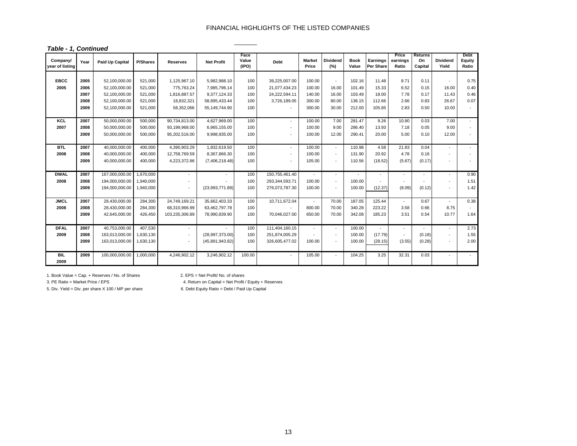#### *Table - 1, Continued*

| Company/<br>year of listing | Year | <b>Paid Up Capital</b> | <b>P/Shares</b> | <b>Reserves</b>          | <b>Net Profit</b> | Face<br>Value<br>(IPO) | <b>Debt</b>              | <b>Market</b><br>Price | <b>Dividend</b><br>(%)   | <b>Book</b><br>Value | Earnings<br>Per Share | Price<br>earnings<br>Ratio | <b>Returns</b><br>On<br>Capital | <b>Dividend</b><br>Yield | <b>Debt</b><br><b>Equity</b><br>Ratio |
|-----------------------------|------|------------------------|-----------------|--------------------------|-------------------|------------------------|--------------------------|------------------------|--------------------------|----------------------|-----------------------|----------------------------|---------------------------------|--------------------------|---------------------------------------|
|                             |      |                        |                 |                          |                   |                        |                          |                        |                          |                      |                       |                            |                                 |                          |                                       |
| <b>EBCC</b>                 | 2005 | 52,100,000.00          | 521,000         | 1,125,967.10             | 5,982,988.10      | 100                    | 39,225,007.00            | 100.00                 |                          | 102.16               | 11.48                 | 8.71                       | 0.11                            |                          | 0.75                                  |
| 2005                        | 2006 | 52.100.000.00          | 521.000         | 775,763.24               | 7,985,796.14      | 100                    | 21,077,434.23            | 100.00                 | 16.00                    | 101.49               | 15.33                 | 6.52                       | 0.15                            | 16.00                    | 0.40                                  |
|                             | 2007 | 52,100,000.00          | 521,000         | 1,816,887.57             | 9,377,124.33      | 100                    | 24,222,594.11            | 140.00                 | 16.00                    | 103.49               | 18.00                 | 7.78                       | 0.17                            | 11.43                    | 0.46                                  |
|                             | 2008 | 52,100,000.00          | 521,000         | 18,832,321               | 58,695,433.44     | 100                    | 3,726,189.05             | 300.00                 | 80.00                    | 136.15               | 112.66                | 2.66                       | 0.83                            | 26.67                    | 0.07                                  |
|                             | 2009 | 52,100,000.00          | 521,000         | 58,352,066               | 55,149,744.90     | 100                    |                          | 300.00                 | 30.00                    | 212.00               | 105.85                | 2.83                       | 0.50                            | 10.00                    |                                       |
| KCL                         | 2007 | 50,000,000.00          | 500,000         | 90,734,813.00            | 4,627,969.00      | 100                    | $\sim$                   | 100.00                 | 7.00                     | 281.47               | 9.26                  | 10.80                      | 0.03                            | 7.00                     | $\sim$                                |
| 2007                        | 2008 | 50,000,000.00          | 500,000         | 93,199,968.00            | 6,965,155.00      | 100                    | $\blacksquare$           | 100.00                 | 9.00                     | 286.40               | 13.93                 | 7.18                       | 0.05                            | 9.00                     |                                       |
|                             | 2009 | 50,000,000.00          | 500,000         | 95,202,516.00            | 9,998,935.00      | 100                    |                          | 100.00                 | 12.00                    | 290.41               | 20.00                 | 5.00                       | 0.10                            | 12.00                    |                                       |
|                             |      |                        |                 |                          |                   |                        |                          |                        |                          |                      |                       |                            |                                 |                          |                                       |
| <b>BTL</b>                  | 2007 | 40,000,000.00          | 400,000         | 4,390,903.29             | 1,832,619.50      | 100                    | $\sim$                   | 100.00                 | $\sim$                   | 110.98               | 4.58                  | 21.83                      | 0.04                            |                          |                                       |
| 2008                        | 2008 | 40.000.000.00          | 400.000         | 12,758,769.59            | 8,367,866.30      | 100                    | $\overline{\phantom{a}}$ | 100.00                 | $\sim$                   | 131.90               | 20.92                 | 4.78                       | 0.16                            |                          |                                       |
|                             | 2009 | 40,000,000.00          | 400.000         | 4,223,372.86             | (7,406,218.48)    | 100                    | $\sim$                   | 105.00                 | $\sim$                   | 110.56               | (18.52)               | (5.67)                     | (0.17)                          |                          |                                       |
|                             |      |                        |                 |                          |                   |                        |                          |                        |                          |                      |                       |                            |                                 |                          |                                       |
| <b>DWAL</b>                 | 2007 | 167,000,000.00         | 1,670,000       | $\sim$                   |                   | 100                    | 150,755,461.40           | $\sim$                 | $\sim$                   | $\sim$               |                       | $\sim$                     | $\overline{a}$                  | $\overline{\phantom{a}}$ | 0.90                                  |
| 2008                        | 2008 | 194,000,000.00         | 1,940,000       |                          |                   | 100                    | 293,344,593.71           | 100.00                 | $\overline{\phantom{a}}$ | 100.00               |                       |                            |                                 |                          | 1.51                                  |
|                             | 2009 | 194,000,000.00         | 1,940,000       | $\overline{\phantom{a}}$ | (23,993,771.89)   | 100                    | 276,073,787.30           | 100.00                 | $\overline{\phantom{a}}$ | 100.00               | (12.37)               | (8.09)                     | (0.12)                          |                          | 1.42                                  |
| <b>JMCL</b>                 | 2007 | 28,430,000.00          | 284,300         | 24,749,169.21            | 35,662,403.33     | 100                    | 10,711,672.04            | $\sim$                 | 70.00                    | 187.05               | 125.44                |                            | 0.67                            |                          | 0.38                                  |
| 2008                        | 2008 | 28.430.000.00          | 284,300         | 68,310,966.99            | 63,462,797.78     | 100                    |                          | 800.00                 | 70.00                    | 340.28               | 223.22                | 3.58                       | 0.66                            | 8.75                     |                                       |
|                             | 2009 | 42,645,000.00          | 426,450         | 103,235,306.89           | 78,990,839.90     | 100                    | 70,046,027.00            | 650.00                 | 70.00                    | 342.08               | 185.23                | 3.51                       | 0.54                            | 10.77                    | 1.64                                  |
|                             |      |                        |                 |                          |                   |                        |                          |                        |                          |                      |                       |                            |                                 |                          |                                       |
| <b>DFAL</b>                 | 2007 | 40,753,000.00          | 407,530         | $\overline{\phantom{a}}$ |                   | 100                    | 111,404,160.15           | $\sim$                 | $\sim$                   | 100.00               |                       | $\sim$                     |                                 |                          | 2.73                                  |
| 2009                        | 2008 | 163,013,000.00         | 1,630,130       | $\overline{\phantom{a}}$ | (28,997,373.00)   | 100                    | 251,874,005.29           |                        | $\sim$                   | 100.00               | (17.79)               |                            | (0.18)                          | $\blacksquare$           | 1.55                                  |
|                             | 2009 | 163,013,000.00         | 1,630,130       |                          | (45,891,943.82)   | 100                    | 326,605,477.02           | 100.00                 | $\sim$                   | 100.00               | (28.15)               | (3.55)                     | (0.28)                          |                          | 2.00                                  |
| <b>BIL</b>                  | 2009 | 100,000,000.00         | 1,000,000       | 4,246,902.12             | 3,246,902.12      | 100.00                 | $\sim$                   | 105.00                 | $\sim$                   | 104.25               | 3.25                  | 32.31                      | 0.03                            |                          |                                       |
| 2009                        |      |                        |                 |                          |                   |                        |                          |                        |                          |                      |                       |                            |                                 |                          |                                       |

1. Book Value = Cap. + Reserves / No. of Shares 2. EPS = Net Profit/ No. of shares

3. PE Ratio = Market Price / EPS 4. Return on Capital = Net Profit / Equity + Reserves

5. Div. Yield = Div. per share X 100 / MP per share 6. Debt Equity Ratio = Debt / Paid Up Capital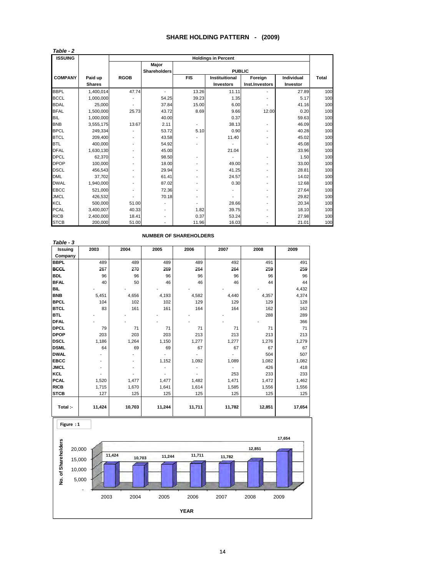#### **SHARE HOLDING PATTERN - (2009)**

| <b>ISSUING</b> |               |             |                     |                          | <b>Holdings in Percent</b> |                          |            |              |
|----------------|---------------|-------------|---------------------|--------------------------|----------------------------|--------------------------|------------|--------------|
|                |               |             | Major               |                          |                            |                          |            |              |
|                |               |             | <b>Shareholders</b> |                          | <b>PUBLIC</b>              |                          |            |              |
| <b>COMPANY</b> | Paid up       | <b>RGOB</b> |                     | <b>FIS</b>               | Instituitional             | Foreign                  | Individual | <b>Total</b> |
|                | <b>Shares</b> |             |                     |                          | Investors                  | Inst.Investors           | Investor   |              |
| <b>BBPL</b>    | 1,400,014     | 47.74       | $\blacksquare$      | 13.26                    | 11.11                      |                          | 27.89      | 100          |
| <b>BCCL</b>    | 1,000,000     |             | 54.25               | 39.23                    | 1.35                       |                          | 5.17       | 100          |
| <b>BDAL</b>    | 25,000        |             | 37.84               | 15.00                    | 6.00                       |                          | 41.16      | 100          |
| <b>BFAL</b>    | 1,500,000     | 25.73       | 43.72               | 8.69                     | 9.66                       | 12.00                    | 0.20       | 100          |
| <b>BIL</b>     | 1,000,000     |             | 40.00               |                          | 0.37                       |                          | 59.63      | 100          |
| <b>BNB</b>     | 3,555,175     | 13.67       | 2.11                | $\overline{\phantom{a}}$ | 38.13                      | -                        | 46.09      | 100          |
| <b>BPCL</b>    | 249.334       |             | 53.72               | 5.10                     | 0.90                       |                          | 40.28      | 100          |
| <b>BTCL</b>    | 209.400       |             | 43.58               |                          | 11.40                      |                          | 45.02      | 100          |
| <b>BTL</b>     | 400,000       |             | 54.92               | $\overline{\phantom{0}}$ |                            |                          | 45.08      | 100          |
| <b>DFAL</b>    | 1,630,130     |             | 45.00               |                          | 21.04                      |                          | 33.96      | 100          |
| <b>DPCL</b>    | 62.370        |             | 98.50               |                          |                            |                          | 1.50       | 100          |
| <b>DPOP</b>    | 100.000       |             | 18.00               |                          | 49.00                      |                          | 33.00      | 100          |
| <b>DSCL</b>    | 456.543       |             | 29.94               |                          | 41.25                      |                          | 28.81      | 100          |
| <b>DML</b>     | 37.702        |             | 61.41               |                          | 24.57                      | $\overline{\phantom{0}}$ | 14.02      | 100          |
| <b>DWAL</b>    | 1,940,000     |             | 87.02               |                          | 0.30                       |                          | 12.68      | 100          |
| <b>EBCC</b>    | 521,000       |             | 72.36               |                          |                            |                          | 27.64      | 100          |
| <b>JMCL</b>    | 426,532       |             | 70.18               | $\overline{\phantom{0}}$ |                            |                          | 29.82      | 100          |
| <b>KCL</b>     | 500.000       | 51.00       |                     | $\overline{\phantom{a}}$ | 28.66                      |                          | 20.34      | 100          |
| <b>PCAL</b>    | 3,400,007     | 40.33       |                     | 1.82                     | 39.75                      |                          | 18.10      | 100          |
| <b>RICB</b>    | 2.400.000     | 18.41       |                     | 0.37                     | 53.24                      |                          | 27.98      | 100          |
| <b>STCB</b>    | 200,000       | 51.00       |                     | 11.96                    | 16.03                      |                          | 21.01      | 100          |

| Table - 3   |        |        |        |        |        |        |        |
|-------------|--------|--------|--------|--------|--------|--------|--------|
| Issuing     | 2003   | 2004   | 2005   | 2006   | 2007   | 2008   | 2009   |
| Company     |        |        |        |        |        |        |        |
| <b>BBPL</b> | 489    | 489    | 489    | 489    | 492    | 491    | 491    |
| <b>BCCL</b> | 267    | 270    | 269    | 264    | 264    | 259    | 259    |
| <b>BDL</b>  | 96     | 96     | 96     | 96     | 96     | 96     | 96     |
| <b>BFAL</b> | 40     | 50     | 46     | 46     | 46     | 44     | 44     |
| BIL.        |        |        |        |        |        |        | 4,432  |
| <b>BNB</b>  | 5,451  | 4,656  | 4,193  | 4,582  | 4,440  | 4,357  | 4,374  |
| <b>BPCL</b> | 104    | 102    | 102    | 129    | 129    | 129    | 128    |
| <b>BTCL</b> | 83     | 161    | 161    | 164    | 164    | 162    | 162    |
| <b>BTL</b>  |        |        |        |        |        | 288    | 289    |
| <b>DFAL</b> |        |        |        |        |        |        | 366    |
| <b>DPCL</b> | 79     | 71     | 71     | 71     | 71     | 71     | 71     |
| <b>DPOP</b> | 203    | 203    | 203    | 213    | 213    | 213    | 213    |
| <b>DSCL</b> | 1,186  | 1,264  | 1,150  | 1,277  | 1,277  | 1,276  | 1,279  |
| <b>DSML</b> | 64     | 69     | 69     | 67     | 67     | 67     | 67     |
| <b>DWAL</b> |        |        |        |        |        | 504    | 507    |
| <b>EBCC</b> |        |        | 1,152  | 1,092  | 1,089  | 1,082  | 1,082  |
| <b>JMCL</b> |        |        |        |        |        | 426    | 418    |
| <b>KCL</b>  |        |        |        |        | 253    | 233    | 233    |
| <b>PCAL</b> | 1,520  | 1,477  | 1,477  | 1,482  | 1,471  | 1,472  | 1,462  |
| <b>RICB</b> | 1,715  | 1,670  | 1,641  | 1,614  | 1,585  | 1,556  | 1,556  |
| <b>STCB</b> | 127    | 125    | 125    | 125    | 125    | 125    | 125    |
|             |        |        |        |        |        |        |        |
| Total :-    | 11,424 | 10,703 | 11,244 | 11,711 | 11,782 | 12,851 | 17,654 |



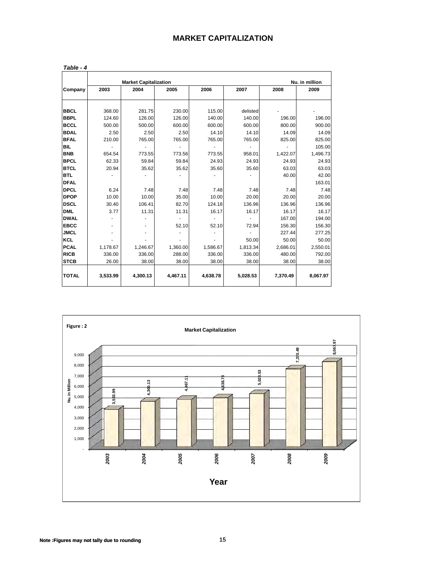| <b>MARKET CAPITALIZATION</b> |  |  |  |  |  |  |
|------------------------------|--|--|--|--|--|--|
|------------------------------|--|--|--|--|--|--|

|              |          | <b>Market Capitalization</b> |          |          |          |          | Nu. in million |
|--------------|----------|------------------------------|----------|----------|----------|----------|----------------|
| Company      | 2003     | 2004                         | 2005     | 2006     | 2007     | 2008     | 2009           |
| <b>BBCL</b>  | 368.00   | 281.75                       | 230.00   | 115.00   | delisted |          |                |
| <b>BBPL</b>  | 124.60   | 126.00                       | 126.00   | 140.00   | 140.00   | 196.00   | 196.00         |
| <b>BCCL</b>  | 500.00   | 500.00                       | 600.00   | 600.00   | 600.00   | 800.00   | 900.00         |
| <b>BDAL</b>  | 2.50     | 2.50                         | 2.50     | 14.10    | 14.10    | 14.09    | 14.09          |
| <b>BFAL</b>  | 210.00   | 765.00                       | 765.00   | 765.00   | 765.00   | 825.00   | 825.00         |
| <b>BIL</b>   |          |                              |          |          |          |          | 105.00         |
| <b>BNB</b>   | 654.54   | 773.55                       | 773.56   | 773.55   | 958.01   | 1,422.07 | 1,496.73       |
| <b>BPCL</b>  | 62.33    | 59.84                        | 59.84    | 24.93    | 24.93    | 24.93    | 24.93          |
| <b>BTCL</b>  | 20.94    | 35.62                        | 35.62    | 35.60    | 35.60    | 63.03    | 63.03          |
| <b>BTL</b>   |          |                              |          |          |          | 40.00    | 42.00          |
| <b>DFAL</b>  |          |                              |          |          |          |          | 163.01         |
| <b>DPCL</b>  | 6.24     | 7.48                         | 7.48     | 7.48     | 7.48     | 7.48     | 7.48           |
| <b>DPOP</b>  | 10.00    | 10.00                        | 35.00    | 10.00    | 20.00    | 20.00    | 20.00          |
| <b>DSCL</b>  | 30.40    | 106.41                       | 82.70    | 124.18   | 136.96   | 136.96   | 136.96         |
| <b>DML</b>   | 3.77     | 11.31                        | 11.31    | 16.17    | 16.17    | 16.17    | 16.17          |
| <b>DWAL</b>  |          |                              |          |          |          | 167.00   | 194.00         |
| <b>EBCC</b>  |          |                              | 52.10    | 52.10    | 72.94    | 156.30   | 156.30         |
| <b>JMCL</b>  |          |                              |          |          |          | 227.44   | 277.25         |
| <b>KCL</b>   |          |                              |          |          | 50.00    | 50.00    | 50.00          |
| <b>PCAL</b>  | 1,178.67 | 1,246.67                     | 1,360.00 | 1,586.67 | 1,813.34 | 2,686.01 | 2,550.01       |
| <b>RICB</b>  | 336.00   | 336.00                       | 288.00   | 336.00   | 336.00   | 480.00   | 792.00         |
| <b>STCB</b>  | 26.00    | 38.00                        | 38.00    | 38.00    | 38.00    | 38.00    | 38.00          |
| <b>TOTAL</b> | 3,533.99 | 4,300.13                     | 4,467.11 | 4,638.78 | 5,028.53 | 7,370.49 | 8,067.97       |



| Note: Figures may not tally due to rounding |  |  |
|---------------------------------------------|--|--|
|---------------------------------------------|--|--|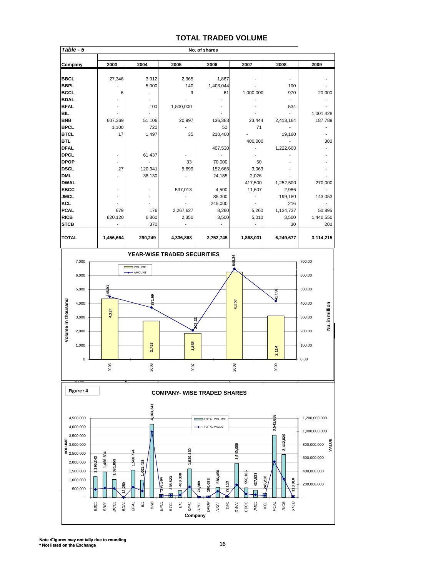#### **TOTAL TRADED VOLUME**

| Table - 5    |           |         |           | No. of shares |           |           |           |
|--------------|-----------|---------|-----------|---------------|-----------|-----------|-----------|
|              |           |         |           |               |           |           |           |
| Company      | 2003      | 2004    | 2005      | 2006          | 2007      | 2008      | 2009      |
|              |           |         |           |               |           |           |           |
| <b>BBCL</b>  | 27,346    | 3,912   | 2,965     | 1,867         |           |           |           |
| <b>BBPL</b>  |           | 5,000   | 140       | 1,403,044     |           | 100       |           |
| <b>BCCL</b>  | 6         |         | 9         | 61            | 1,000,000 | 970       | 20,000    |
| <b>BDAL</b>  |           |         |           |               |           |           |           |
| <b>BFAL</b>  |           | 100     | 1,500,000 |               |           | 534       |           |
| <b>BIL</b>   |           |         |           |               |           |           | 1,001,428 |
| <b>BNB</b>   | 607,369   | 51,106  | 20,997    | 136,383       | 23,444    | 2,413,164 | 187,789   |
| <b>BPCL</b>  | 1,100     | 720     |           | 50            | 71        |           |           |
| <b>BTCL</b>  | 17        | 1,497   | 35        | 210,400       |           | 19,160    |           |
| <b>BTL</b>   |           |         |           |               | 400,000   |           | 300       |
| <b>DFAL</b>  |           |         |           | 407,530       |           | 1,222,600 |           |
| <b>DPCL</b>  |           | 61,437  |           |               |           |           |           |
| <b>DPOP</b>  |           |         | 33        | 70,000        | 50        |           |           |
| <b>DSCL</b>  | 27        | 120,941 | 5,699     | 152,665       | 3,063     |           |           |
| <b>DML</b>   |           | 38,130  |           | 24,185        | 2,026     |           |           |
| <b>DWAL</b>  |           |         |           |               | 417,500   | 1,252,500 | 270,000   |
| <b>EBCC</b>  |           |         | 537,013   | 4,500         | 11,607    | 2,986     |           |
| <b>JMCL</b>  |           |         |           | 85,300        |           | 199,180   | 143,053   |
| <b>KCL</b>   |           |         |           | 245,000       |           | 216       |           |
| <b>PCAL</b>  | 679       | 176     | 2,267,627 | 8,260         | 5,260     | 1,134,737 | 50,895    |
| <b>RICB</b>  | 820,120   | 6,860   | 2,350     | 3,500         | 5,010     | 3,500     | 1,440,550 |
| <b>STCB</b>  |           | 370     |           |               |           | 30        | 200       |
|              |           |         |           |               |           |           |           |
| <b>TOTAL</b> | 1,456,664 | 290,249 | 4,336,868 | 2,752,745     | 1,868,031 | 6,249,677 | 3,114,215 |



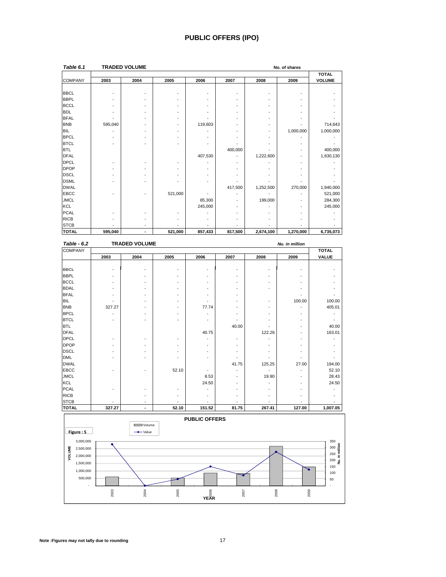#### **PUBLIC OFFERS (IPO)**

| Table 6.1      |         | <b>TRADED VOLUME</b>     |         |         |         |           | No. of shares |               |
|----------------|---------|--------------------------|---------|---------|---------|-----------|---------------|---------------|
|                |         |                          |         |         |         |           |               | <b>TOTAL</b>  |
| <b>COMPANY</b> | 2003    | 2004                     | 2005    | 2006    | 2007    | 2008      | 2009          | <b>VOLUME</b> |
|                |         |                          |         |         |         |           |               |               |
| <b>BBCL</b>    |         |                          |         |         |         |           |               |               |
| <b>BBPL</b>    |         |                          |         |         |         |           |               |               |
| <b>BCCL</b>    |         |                          |         |         |         |           |               |               |
| <b>BDL</b>     |         |                          |         |         |         |           |               |               |
| <b>BFAL</b>    |         |                          |         |         |         |           |               |               |
| <b>BNB</b>     | 595,040 |                          |         | 119,603 |         |           |               | 714,643       |
| <b>BIL</b>     |         |                          |         |         |         |           | 1,000,000     | 1,000,000     |
| <b>BPCL</b>    |         |                          |         |         |         |           |               |               |
| <b>BTCL</b>    |         |                          |         |         |         |           |               |               |
| <b>BTL</b>     |         |                          |         |         | 400,000 |           |               | 400,000       |
| <b>DFAL</b>    |         |                          |         | 407,530 |         | 1,222,600 |               | 1,630,130     |
| <b>DPCL</b>    |         |                          |         |         |         |           |               |               |
| <b>DPOP</b>    |         |                          |         |         |         |           |               |               |
| <b>DSCL</b>    |         |                          |         |         |         |           |               |               |
| <b>DSML</b>    |         |                          |         |         |         |           |               |               |
| <b>DWAL</b>    |         |                          |         |         | 417,500 | 1,252,500 | 270,000       | 1,940,000     |
| <b>EBCC</b>    |         |                          | 521,000 |         |         |           |               | 521,000       |
| <b>JMCL</b>    |         |                          |         | 85,300  |         | 199,000   |               | 284,300       |
| KCL            |         |                          |         | 245,000 |         |           |               | 245,000       |
| <b>PCAL</b>    |         |                          |         |         |         |           |               |               |
| <b>RICB</b>    |         |                          |         |         |         |           |               |               |
| <b>STCB</b>    |         | $\overline{\phantom{a}}$ |         |         |         |           |               |               |
| <b>TOTAL</b>   | 595,040 | $\overline{\phantom{a}}$ | 521,000 | 857,433 | 817,500 | 2,674,100 | 1,270,000     | 6,735,073     |

| Table - 6.2    |        | <b>TRADED VOLUME</b>     |       |        |       |        | Nu. in million |              |
|----------------|--------|--------------------------|-------|--------|-------|--------|----------------|--------------|
| <b>COMPANY</b> |        |                          |       |        |       |        |                | <b>TOTAL</b> |
|                | 2003   | 2004                     | 2005  | 2006   | 2007  | 2008   | 2009           | <b>VALUE</b> |
|                |        |                          |       |        |       |        |                |              |
| <b>BBCL</b>    |        |                          |       |        | ٠     |        |                |              |
| <b>BBPL</b>    | ٠      | $\overline{\phantom{a}}$ |       |        |       |        |                |              |
| <b>BCCL</b>    |        |                          |       |        |       |        |                |              |
| <b>BDAL</b>    |        |                          |       |        |       |        |                |              |
| <b>BFAL</b>    |        |                          |       |        |       |        |                |              |
| <b>BIL</b>     |        |                          |       |        |       |        | 100.00         | 100.00       |
| <b>BNB</b>     | 327.27 | ٠                        |       | 77.74  |       |        |                | 405.01       |
| <b>BPCL</b>    |        |                          |       |        |       |        |                |              |
| <b>BTCL</b>    |        |                          |       |        |       |        |                |              |
| <b>BTL</b>     |        |                          |       |        | 40.00 |        |                | 40.00        |
| <b>DFAL</b>    |        |                          |       | 40.75  |       | 122.26 | ٠              | 163.01       |
| <b>DPCL</b>    | ٠      | ٠                        |       |        | ٠     |        | ٠              |              |
| <b>DPOP</b>    |        |                          |       |        |       |        |                |              |
| <b>DSCL</b>    |        |                          |       |        |       |        |                |              |
| <b>DML</b>     |        |                          |       |        |       |        |                |              |
| <b>DWAL</b>    |        |                          |       |        | 41.75 | 125.25 | 27.00          | 194.00       |
| <b>EBCC</b>    |        |                          | 52.10 |        |       |        |                | 52.10        |
| <b>JMCL</b>    |        |                          |       | 8.53   |       | 19.90  |                | 28.43        |
| <b>KCL</b>     |        |                          |       | 24.50  |       |        |                | 24.50        |
| <b>PCAL</b>    |        |                          |       |        |       |        |                |              |
| <b>RICB</b>    |        |                          |       |        |       |        |                |              |
| <b>STCB</b>    |        | ٠                        |       |        |       |        |                |              |
| <b>TOTAL</b>   | 327.27 | ٠                        | 52.10 | 151.52 | 81.75 | 267.41 | 127.00         | 1,007.05     |

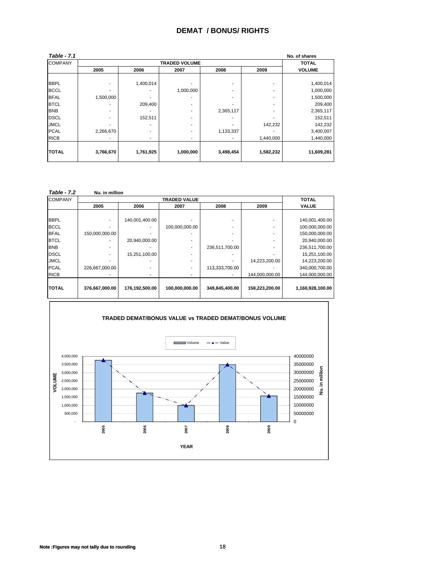#### **DEMAT / BONUS/ RIGHTS**

| <b>Table - 7.1</b> |           |           |                      |           |           | No. of shares |
|--------------------|-----------|-----------|----------------------|-----------|-----------|---------------|
| <b>COMPANY</b>     |           |           | <b>TRADED VOLUME</b> |           |           | <b>TOTAL</b>  |
|                    | 2005      | 2006      | 2007                 | 2008      | 2009      | <b>VOLUME</b> |
|                    |           |           |                      |           |           |               |
| <b>BBPL</b>        |           | 1,400,014 |                      |           |           | 1,400,014     |
| <b>BCCL</b>        |           |           | 1,000,000            |           |           | 1,000,000     |
| <b>BFAL</b>        | 1,500,000 |           |                      |           | ۰         | 1,500,000     |
| <b>BTCL</b>        |           | 209,400   | ۰.                   |           |           | 209,400       |
| <b>BNB</b>         |           |           |                      | 2,365,117 | ۰         | 2,365,117     |
| <b>DSCL</b>        | ۰         | 152,511   | ۰                    |           |           | 152,511       |
| <b>JMCL</b>        |           |           | ۰                    |           | 142,232   | 142,232       |
| <b>PCAL</b>        | 2,266,670 | ۰         |                      | 1,133,337 |           | 3,400,007     |
| <b>RICB</b>        |           |           |                      |           | 1,440,000 | 1,440,000     |
|                    |           |           |                      |           |           |               |
| <b>TOTAL</b>       | 3,766,670 | 1,761,925 | 1,000,000            | 3,498,454 | 1,582,232 | 11,609,281    |
|                    |           |           |                      |           |           |               |

| <b>Table - 7.2</b> | Nu. in million |                |                     |                |                |                  |
|--------------------|----------------|----------------|---------------------|----------------|----------------|------------------|
| <b>COMPANY</b>     |                |                | <b>TRADED VALUE</b> |                |                | TOTAL            |
|                    | 2005           | 2006           | 2007                | 2008           | 2009           | <b>VALUE</b>     |
|                    |                |                |                     |                |                |                  |
| <b>BBPL</b>        |                | 140,001,400.00 |                     |                |                | 140,001,400.00   |
| <b>BCCL</b>        |                |                | 100,000,000.00      |                |                | 100,000,000.00   |
| <b>BFAL</b>        | 150,000,000.00 |                |                     |                |                | 150,000,000.00   |
| <b>BTCL</b>        |                | 20,940,000.00  |                     |                |                | 20,940,000.00    |
| <b>BNB</b>         |                |                |                     | 236,511,700.00 |                | 236,511,700.00   |
| <b>DSCL</b>        |                | 15,251,100.00  |                     |                |                | 15,251,100.00    |
| <b>JMCL</b>        |                |                |                     |                | 14,223,200.00  | 14,223,200.00    |
| <b>PCAL</b>        | 226,667,000.00 |                |                     | 113,333,700.00 |                | 340,000,700.00   |
| <b>RICB</b>        |                |                |                     |                | 144,000,000.00 | 144,000,000.00   |
|                    |                |                |                     |                |                |                  |
| <b>TOTAL</b>       | 376,667,000.00 | 176,192,500.00 | 100,000,000.00      | 349,845,400.00 | 158,223,200.00 | 1,160,928,100.00 |
|                    |                |                |                     |                |                |                  |

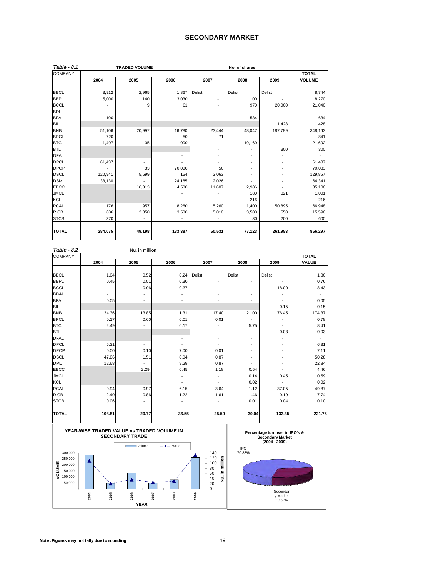#### **SECONDARY MARKET**

| Table - 8.1    |         | <b>TRADED VOLUME</b> |         |                              | No. of shares            |                              |               |
|----------------|---------|----------------------|---------|------------------------------|--------------------------|------------------------------|---------------|
| <b>COMPANY</b> |         |                      |         |                              |                          |                              | <b>TOTAL</b>  |
|                | 2004    | 2005                 | 2006    | 2007                         | 2008                     | 2009                         | <b>VOLUME</b> |
|                |         |                      |         |                              |                          |                              |               |
| <b>BBCL</b>    | 3,912   | 2,965                | 1,867   | Delist                       | Delist                   | Delist                       | 8,744         |
| <b>BBPL</b>    | 5,000   | 140                  | 3,030   | ٠                            | 100                      |                              | 8,270         |
| <b>BCCL</b>    |         | 9                    | 61      | ٠                            | 970                      | 20,000                       | 21,040        |
| <b>BDL</b>     |         |                      |         | ٠                            |                          |                              |               |
| <b>BFAL</b>    | 100     | ٠                    |         | $\overline{\phantom{a}}$     | 534                      |                              | 634           |
| <b>BIL</b>     |         |                      |         |                              |                          | 1,428                        | 1,428         |
| <b>BNB</b>     | 51,106  | 20,997               | 16,780  | 23,444                       | 48,047                   | 187,789                      | 348,163       |
| <b>BPCL</b>    | 720     |                      | 50      | 71                           |                          |                              | 841           |
| <b>BTCL</b>    | 1,497   | 35                   | 1,000   |                              | 19,160                   | $\qquad \qquad \blacksquare$ | 21,692        |
| <b>BTL</b>     |         |                      |         | $\overline{\phantom{a}}$     |                          | 300                          | 300           |
| <b>DFAL</b>    |         |                      |         |                              |                          | ٠                            |               |
| <b>DPCL</b>    | 61,437  | $\blacksquare$       |         |                              |                          | ۰                            | 61,437        |
| <b>DPOP</b>    |         | 33                   | 70,000  | 50                           | $\overline{\phantom{a}}$ | ۰                            | 70,083        |
| <b>DSCL</b>    | 120,941 | 5,699                | 154     | 3,063                        |                          | ۰                            | 129,857       |
| <b>DSML</b>    | 38,130  |                      | 24,185  | 2,026                        |                          | $\qquad \qquad \blacksquare$ | 64,341        |
| <b>EBCC</b>    |         | 16,013               | 4,500   | 11,607                       | 2,986                    | ٠                            | 35,106        |
| <b>JMCL</b>    |         |                      |         | $\qquad \qquad \blacksquare$ | 180                      | 821                          | 1,001         |
| KCL            |         |                      |         |                              | 216                      |                              | 216           |
| <b>PCAL</b>    | 176     | 957                  | 8,260   | 5,260                        | 1,400                    | 50,895                       | 66,948        |
| <b>RICB</b>    | 686     | 2,350                | 3,500   | 5,010                        | 3,500                    | 550                          | 15,596        |
| <b>STCB</b>    | 370     |                      |         | ٠                            | 30                       | 200                          | 600           |
|                |         |                      |         |                              |                          |                              |               |
| <b>TOTAL</b>   | 284,075 | 49,198               | 133,387 | 50,531                       | 77,123                   | 261,983                      | 856,297       |
|                |         |                      |         |                              |                          |                              |               |

| <b>Table - 8.2</b> |        | Nu. in million |                          |                          |                          |                          |              |
|--------------------|--------|----------------|--------------------------|--------------------------|--------------------------|--------------------------|--------------|
| <b>COMPANY</b>     |        |                |                          |                          |                          |                          | <b>TOTAL</b> |
|                    | 2004   | 2005           | 2006                     | 2007                     | 2008                     | 2009                     | VALUE        |
|                    |        |                |                          |                          |                          |                          |              |
| <b>BBCL</b>        | 1.04   | 0.52           | 0.24                     | Delist                   | Delist                   | Delist                   | 1.80         |
| <b>BBPL</b>        | 0.45   | 0.01           | 0.30                     | ٠                        | ٠                        |                          | 0.76         |
| <b>BCCL</b>        | ٠      | 0.06           | 0.37                     | $\overline{\phantom{a}}$ | ٠                        | 18.00                    | 18.43        |
| <b>BDAL</b>        | ٠      |                |                          |                          | $\overline{\phantom{a}}$ |                          |              |
| <b>BFAL</b>        | 0.05   |                |                          |                          | ٠                        |                          | 0.05         |
| <b>BIL</b>         |        |                |                          |                          |                          | 0.15                     | 0.15         |
| <b>BNB</b>         | 34.36  | 13.85          | 11.31                    | 17.40                    | 21.00                    | 76.45                    | 174.37       |
| <b>BPCL</b>        | 0.17   | 0.60           | 0.01                     | 0.01                     |                          | ٠                        | 0.78         |
| <b>BTCL</b>        | 2.49   | ٠              | 0.17                     |                          | 5.75                     | ۰                        | 8.41         |
| <b>BTL</b>         |        |                |                          | $\overline{\phantom{a}}$ | ٠                        | 0.03                     | 0.03         |
| <b>DFAL</b>        |        |                | ٠                        | ٠                        | $\overline{\phantom{a}}$ | $\overline{\phantom{a}}$ |              |
| <b>DPCL</b>        | 6.31   | $\sim$         | $\overline{\phantom{a}}$ | $\overline{\phantom{a}}$ | ٠                        | $\overline{\phantom{a}}$ | 6.31         |
| <b>DPOP</b>        | 0.00   | 0.10           | 7.00                     | 0.01                     | ٠                        | $\overline{\phantom{a}}$ | 7.11         |
| <b>DSCL</b>        | 47.86  | 1.51           | 0.04                     | 0.87                     | ٠                        | $\overline{\phantom{a}}$ | 50.28        |
| <b>DML</b>         | 12.68  |                | 9.29                     | 0.87                     | ۰                        | $\overline{\phantom{a}}$ | 22.84        |
| <b>EBCC</b>        |        | 2.29           | 0.45                     | 1.18                     | 0.54                     |                          | 4.46         |
| <b>JMCL</b>        |        |                |                          | $\overline{\phantom{a}}$ | 0.14                     | 0.45                     | 0.59         |
| KCL                |        |                | ٠                        | ٠                        | 0.02                     | $\overline{\phantom{a}}$ | 0.02         |
| <b>PCAL</b>        | 0.94   | 0.97           | 6.15                     | 3.64                     | 1.12                     | 37.05                    | 49.87        |
| <b>RICB</b>        | 2.40   | 0.86           | 1.22                     | 1.61                     | 1.46                     | 0.19                     | 7.74         |
| <b>STCB</b>        | 0.06   | $\frac{1}{2}$  | $\overline{\phantom{a}}$ | $\overline{\phantom{a}}$ | 0.01                     | 0.04                     | 0.10         |
| <b>TOTAL</b>       | 108.81 | 20.77          | 36.55                    | 25.59                    | 30.04                    | 132.35                   | 221.75       |



Note :Figures may not tally due to rounding **notice in the set of the set of the set of the set of the set of th**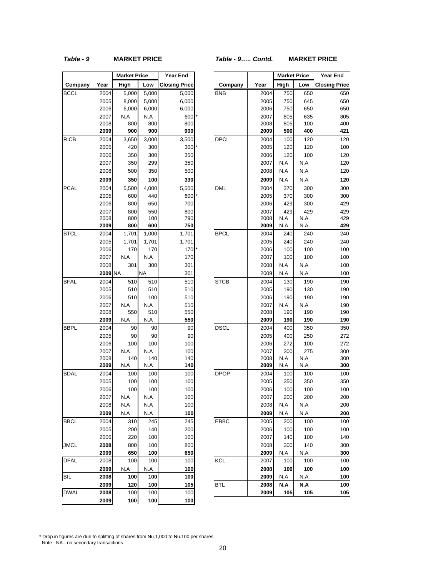#### *Table - 9* **MARKET PRICE** *Table - 9….. Contd.* **MARKET PRICE**

|             |      | <b>Market Price</b> |           | Year End             |
|-------------|------|---------------------|-----------|----------------------|
| Company     | Year | High                | Low       | <b>Closing Price</b> |
| BCCL        | 2004 | 5,000               | 5,000     | 5,000                |
|             | 2005 | 8,000               | 5,000     | 6,000                |
|             | 2006 | 6,000               | 6,000     | 6,000                |
|             | 2007 | N.A                 | N.A       | 600                  |
|             | 2008 | 800                 | 800       | 800                  |
|             | 2009 | 900                 | 900       | 900                  |
| <b>RICB</b> | 2004 | 3,650               | 3,000     | 3,500                |
|             | 2005 | 420                 | 300       | 300                  |
|             | 2006 | 350                 | 300       | 350                  |
|             | 2007 | 350                 | 299       | 350                  |
|             | 2008 | 500                 | 350       | 500                  |
|             | 2009 | 350                 | 100       | 330                  |
| <b>PCAL</b> | 2004 | 5,500               | 4,000     | 5,500                |
|             | 2005 | 600                 | 440       | 600                  |
|             | 2006 | 800                 | 650       | 700                  |
|             | 2007 | 800                 | 550       | 800                  |
|             | 2008 | 800                 | 100       | 790                  |
|             | 2009 | 800                 | 600       | 750                  |
| <b>BTCL</b> | 2004 | 1,701               | 1,000     | 1,701                |
|             | 2005 | 1,701               | 1,701     | 1,701                |
|             | 2006 | 170                 | 170       | 170                  |
|             | 2007 | N.A                 | N.A       | 170                  |
|             | 2008 | 301                 | 300       | 301                  |
|             | 2009 | ΝA                  | <b>NA</b> | 301                  |
| <b>BFAL</b> | 2004 | 510                 | 510       | 510                  |
|             | 2005 | 510                 | 510       | 510                  |
|             | 2006 | 510                 | 100       | 510                  |
|             | 2007 | N.A                 | N.A       | 510                  |
|             | 2008 | 550                 | 510       | 550                  |
|             | 2009 | N.A                 | N.A       | 550                  |
| <b>BBPL</b> | 2004 | 90                  | 90        | 90                   |
|             | 2005 | 90                  | 90        | 90                   |
|             | 2006 | 100                 | 100       | 100                  |
|             | 2007 | N.A                 | N.A       | 100                  |
|             | 2008 | 140                 | 140       | 140                  |
|             | 2009 | N.A                 | N.A       | 140                  |
| <b>BDAL</b> | 2004 | 100                 | 100       | 100                  |
|             | 2005 | 100                 | 100       | 100                  |
|             | 2006 | 100                 | 100       | 100                  |
|             | 2007 | N.A                 | N.A       | 100                  |
|             | 2008 | N.A                 | N.A       | 100                  |
|             | 2009 | N.A                 | N.A       | 100                  |
| <b>BBCL</b> | 2004 | 310                 | 245       | 245                  |
|             | 2005 | 200                 | 140       | 200                  |
|             | 2006 | 220                 | 100       | 100                  |
| <b>JMCL</b> | 2008 | 800                 | 100       | 800                  |
|             | 2009 | 650                 | 100       | 650                  |
| <b>DFAL</b> | 2008 | 100                 | 100       | 100                  |
|             | 2009 | N.A                 | N.A       | 100                  |
| <b>BIL</b>  | 2008 | 100                 | 100       | 100                  |
|             | 2009 | 120                 | 100       | 105                  |
| <b>DWAL</b> | 2008 | 100                 | 100       | 100                  |
|             | 2009 | 100                 | 100       | 100                  |
|             |      |                     |           |                      |

|             |                | <b>Market Price</b> |           | Year End             |             |      | <b>Market Price</b> |     | Year End             |
|-------------|----------------|---------------------|-----------|----------------------|-------------|------|---------------------|-----|----------------------|
| Company     | Year           | High                | Low       | <b>Closing Price</b> | Company     | Year | High                | Low | <b>Closing Price</b> |
| BCCL        | 2004           | 5,000               | 5,000     | 5,000                | <b>BNB</b>  | 2004 | 750                 | 650 | 650                  |
|             | 2005           | 8,000               | 5,000     | 6,000                |             | 2005 | 750                 | 645 | 650                  |
|             | 2006           | 6,000               | 6,000     | 6,000                |             | 2006 | 750                 | 650 | 650                  |
|             | 2007           | N.A                 | N.A       | 600                  |             | 2007 | 805                 | 635 | 805                  |
|             | 2008           | 800                 | 800       | 800                  |             | 2008 | 805                 | 100 | 400                  |
|             | 2009           | 900                 | 900       | 900                  |             | 2009 | 500                 | 400 | 421                  |
| RICB        | 2004           | 3,650               | 3,000     | 3,500                | <b>DPCL</b> | 2004 | 100                 | 120 | 120                  |
|             | 2005           | 420                 | 300       | 300                  |             | 2005 | 120                 | 120 | 100                  |
|             | 2006           | 350                 | 300       | 350                  |             | 2006 | 120                 | 100 | 120                  |
|             | 2007           | 350                 | 299       | 350                  |             | 2007 | N.A                 | N.A | 120                  |
|             | 2008           | 500                 | 350       | 500                  |             | 2008 | N.A                 | N.A | 120                  |
|             | 2009           | 350                 | 100       | 330                  |             | 2009 | N.A                 | N.A | 120                  |
| PCAL        | 2004           | 5,500               | 4,000     | 5,500                | <b>DML</b>  | 2004 | 370                 | 300 | 300                  |
|             | 2005           | 600                 | 440       | 600                  |             | 2005 | 370                 | 300 | 300                  |
|             | 2006           | 800                 | 650       | 700                  |             | 2006 | 429                 | 300 | 429                  |
|             | 2007           | 800                 | 550       | 800                  |             | 2007 | 429                 | 429 | 429                  |
|             | 2008           | 800                 | 100       | 790                  |             | 2008 | N.A                 | N.A | 429                  |
|             | 2009           | 800                 | 600       | 750                  |             | 2009 | N.A                 | N.A | 429                  |
| BTCL        | 2004           | 1,701               | 1,000     | 1,701                | <b>BPCL</b> | 2004 | 240                 | 240 | 240                  |
|             | 2005           | 1,701               | 1,701     | 1,701                |             | 2005 | 240                 | 240 | 240                  |
|             | 2006           | 170                 | 170       | 170                  |             | 2006 | 100                 | 100 | 100                  |
|             | 2007           | N.A                 | N.A       | 170                  |             | 2007 | 100                 | 100 | 100                  |
|             | 2008           | 301                 | 300       | 301                  |             | 2008 | N.A                 | N.A | 100                  |
|             | <b>2009 NA</b> |                     | <b>NA</b> | 301                  |             | 2009 | N.A                 | N.A | 100                  |
| <b>BFAL</b> | 2004           | 510                 | 510       | 510                  | <b>STCB</b> | 2004 | 130                 | 190 | 190                  |
|             | 2005           | 510                 | 510       | 510                  |             | 2005 | 190                 | 130 | 190                  |
|             | 2006           | 510                 | 100       | 510                  |             | 2006 | 190                 | 190 | 190                  |
|             | 2007           | N.A                 | N.A       | 510                  |             | 2007 | N.A                 | N.A | 190                  |
|             | 2008           | 550                 | 510       | 550                  |             | 2008 | 190                 | 190 | 190                  |
|             | 2009           | N.A                 | N.A       | 550                  |             | 2009 | 190                 | 190 | 190                  |
| BBPL        | 2004           | 90                  | 90        | 90                   | <b>DSCL</b> | 2004 | 400                 | 350 | 350                  |
|             | 2005           | 90                  | 90        | 90                   |             | 2005 | 400                 | 250 | 272                  |
|             | 2006           | 100                 | 100       | 100                  |             | 2006 | 272                 | 100 | 272                  |
|             | 2007           | N.A                 | N.A       | 100                  |             | 2007 | 300                 | 275 | 300                  |
|             | 2008           | 140                 | 140       | 140                  |             | 2008 | N.A                 | N.A | 300                  |
|             | 2009           | N.A                 | N.A       | 140                  |             | 2009 | N.A                 | N.A | 300                  |
| <b>BDAL</b> | 2004           | 100                 | 100       | 100                  | <b>DPOP</b> | 2004 | 100                 | 100 | 100                  |
|             | 2005           | 100                 | 100       | 100                  |             | 2005 | 350                 | 350 | 350                  |
|             | 2006           | 100                 | 100       | 100                  |             | 2006 | 100                 | 100 | 100                  |
|             | 2007           | N.A                 | N.A       | 100                  |             | 2007 | 200                 | 200 | 200                  |
|             | 2008           | N.A                 | N.A       | 100                  |             | 2008 | N.A                 | N.A | 200                  |
|             | 2009           | N.A                 | N.A       | 100                  |             | 2009 | N.A                 | N.A | 200                  |
| BBCL        | 2004           | 310                 | 245       | 245                  | EBBC        | 2005 | 200                 | 100 | 100                  |
|             | 2005           | 200                 | 140       | 200                  |             | 2006 | 100                 | 100 | 100                  |
|             | 2006           | 220                 | 100       | 100                  |             | 2007 | 140                 | 100 | 140                  |
| JMCL        | 2008           | 800                 | 100       | 800                  |             | 2008 | 300                 | 140 | 300                  |
|             | 2009           | 650                 | 100       | 650                  |             | 2009 | N.A                 | N.A | 300                  |
| DFAL        | 2008           | 100                 | 100       | 100                  | <b>KCL</b>  | 2007 | 100                 | 100 | 100                  |
|             | 2009           | N.A                 | N.A       | 100                  |             | 2008 | 100                 | 100 | 100                  |
| BIL         | 2008           | 100                 | 100       | 100                  |             | 2009 | N.A                 | N.A | 100                  |
|             | 2009           | 120                 | 100       | 105                  | <b>BTL</b>  | 2008 | N.A                 | N.A | 100                  |
| DWAL        | 2008           | 100                 | 100       | 100                  |             | 2009 | 105                 | 105 | 105                  |
|             |                |                     |           |                      |             |      |                     |     |                      |

\* Drop in figures are due to splitting of shares from Nu.1,000 to Nu.100 per shares Note : NA - no secondary transactions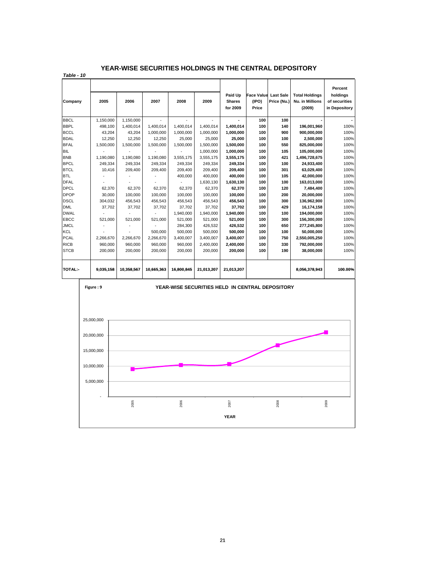#### **YEAR-WISE SECURITIES HOLDINGS IN THE CENTRAL DEPOSITORY**

*Table - 10*

| Company        | 2005               | 2006       | 2007       | 2008       | 2009                                            | Paid Up<br><b>Shares</b> | <b>Face Value Last Sale</b><br>(IPO) | Price (Nu.) | <b>Total Holdings</b><br>Nu. in Millions | Percent<br>holdings<br>of securities |
|----------------|--------------------|------------|------------|------------|-------------------------------------------------|--------------------------|--------------------------------------|-------------|------------------------------------------|--------------------------------------|
|                |                    |            |            |            |                                                 | for 2009                 | Price                                |             | (2009)                                   | in Depository                        |
| <b>BBCL</b>    | 1,150,000          | 1,150,000  |            |            |                                                 |                          | 100                                  | 100         |                                          |                                      |
| <b>BBPL</b>    | 498,100            | 1,400,014  | 1,400,014  | 1,400,014  | 1,400,014                                       | 1,400,014                | 100                                  | 140         | 196,001,960                              | 100%                                 |
| <b>BCCL</b>    | 43,204             | 43,204     | 1,000,000  | 1,000,000  | 1,000,000                                       | 1,000,000                | 100                                  | 900         | 900,000,000                              | 100%                                 |
| <b>BDAL</b>    | 12,250             | 12,250     | 12,250     | 25,000     | 25,000                                          | 25,000                   | 100                                  | 100         | 2,500,000                                | 100%                                 |
| <b>BFAL</b>    | 1,500,000          | 1,500,000  | 1,500,000  | 1,500,000  | 1,500,000                                       | 1,500,000                | 100                                  | 550         | 825,000,000                              | 100%                                 |
| <b>BIL</b>     |                    |            |            |            | 1,000,000                                       | 1,000,000                | 100                                  | 105         | 105,000,000                              | 100%                                 |
| <b>BNB</b>     | 1,190,080          | 1,190,080  | 1,190,080  | 3,555,175  | 3,555,175                                       | 3,555,175                | 100                                  | 421         | 1,496,728,675                            | 100%                                 |
| <b>BPCL</b>    | 249,334            | 249.334    | 249,334    | 249,334    | 249,334                                         | 249,334                  | 100                                  | 100         | 24,933,400                               | 100%                                 |
| <b>BTCL</b>    | 10.416             | 209.400    | 209,400    | 209,400    | 209.400                                         | 209,400                  | 100                                  | 301         | 63,029,400                               | 100%                                 |
| <b>BTL</b>     |                    |            |            | 400,000    | 400.000                                         | 400,000                  | 100                                  | 105         | 42,000,000                               | 100%                                 |
| <b>DFAL</b>    |                    |            |            |            | 1.630.130                                       | 1,630,130                | 100                                  | 100         | 163,013,000                              | 100%                                 |
| <b>DPCL</b>    | 62,370             | 62.370     | 62,370     | 62,370     | 62,370                                          | 62,370                   | 100                                  | 120         | 7,484,400                                | 100%                                 |
| <b>DPOP</b>    | 30,000             | 100.000    | 100,000    | 100,000    | 100,000                                         | 100,000                  | 100                                  | 200         | 20,000,000                               | 100%                                 |
| <b>DSCL</b>    | 304,032            | 456,543    | 456,543    | 456,543    | 456,543                                         | 456,543                  | 100                                  | 300         | 136,962,900                              | 100%                                 |
| <b>DML</b>     | 37,702             | 37,702     | 37,702     | 37,702     | 37,702                                          | 37,702                   | 100                                  | 429         | 16,174,158                               | 100%                                 |
| <b>DWAL</b>    |                    |            |            | 1,940,000  | 1,940,000                                       | 1,940,000                | 100                                  | 100         | 194,000,000                              | 100%                                 |
| EBCC           | 521.000            | 521.000    | 521,000    | 521,000    | 521,000                                         | 521,000                  | 100                                  | 300         | 156,300,000                              | 100%                                 |
| <b>JMCL</b>    |                    |            |            | 284,300    | 426,532                                         | 426,532                  | 100                                  | 650         | 277,245,800                              | 100%                                 |
| <b>KCL</b>     |                    |            | 500.000    | 500,000    | 500,000                                         | 500,000                  | 100                                  | 100         | 50,000,000                               | 100%                                 |
| <b>PCAL</b>    | 2,266,670          | 2,266,670  | 2,266,670  | 3,400,007  | 3,400,007                                       | 3,400,007                | 100                                  | 750         | 2,550,005,250                            | 100%                                 |
| <b>RICB</b>    | 960,000            | 960,000    | 960,000    | 960,000    | 2,400,000                                       | 2,400,000                | 100                                  | 330         | 792,000,000                              | 100%                                 |
| <b>STCB</b>    | 200.000            | 200.000    | 200.000    | 200.000    | 200.000                                         | 200,000                  | 100                                  | 190         | 38,000,000                               | 100%                                 |
| <b>TOTAL:-</b> | 9.035.158          | 10,358,567 | 10.665.363 | 16.800.845 | 21.013.207                                      | 21.013.207               |                                      |             | 8,056,378,943                            | 100.00%                              |
|                | $Eicure2 + \Omega$ |            |            |            | VEAD WISE SECURITIES HELD IN CENTRAL DEDOSITORY |                          |                                      |             |                                          |                                      |

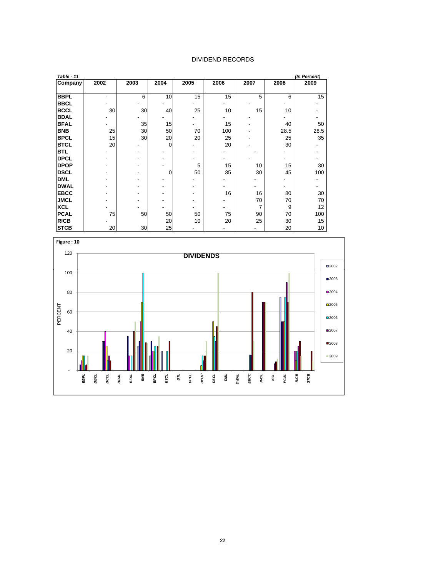#### DIVIDEND RECORDS

| Table - 11  |      |      |             |      |      |      |      | (In Percent) |
|-------------|------|------|-------------|------|------|------|------|--------------|
| Company     | 2002 | 2003 | 2004        | 2005 | 2006 | 2007 | 2008 | 2009         |
|             |      |      |             |      |      |      |      |              |
| <b>BBPL</b> |      | 6    | 10          | 15   | 15   | 5    | 6    | 15           |
| <b>BBCL</b> |      |      |             |      |      |      |      |              |
| <b>BCCL</b> | 30   | 30   | 40          | 25   | 10   | 15   | 10   |              |
| <b>BDAL</b> |      |      |             |      |      |      |      |              |
| <b>BFAL</b> |      | 35   | 15          |      | 15   |      | 40   | 50           |
| <b>BNB</b>  | 25   | 30   | 50          | 70   | 100  |      | 28.5 | 28.5         |
| <b>BPCL</b> | 15   | 30   | 20          | 20   | 25   |      | 25   | 35           |
| <b>BTCL</b> | 20   |      | $\mathbf 0$ |      | 20   |      | 30   |              |
| <b>BTL</b>  |      |      |             |      |      |      |      |              |
| <b>DPCL</b> |      |      |             |      |      |      |      |              |
| <b>DPOP</b> |      |      |             | 5    | 15   | 10   | 15   | 30           |
| <b>DSCL</b> |      |      | $\Omega$    | 50   | 35   | 30   | 45   | 100          |
| <b>DML</b>  |      |      |             |      |      |      |      |              |
| <b>DWAL</b> |      |      |             |      |      |      |      |              |
| <b>EBCC</b> |      |      |             |      | 16   | 16   | 80   | 30           |
| <b>JMCL</b> |      |      |             |      |      | 70   | 70   | 70           |
| <b>KCL</b>  |      |      |             |      |      | 7    | 9    | 12           |
| <b>PCAL</b> | 75   | 50   | 50          | 50   | 75   | 90   | 70   | 100          |
| <b>RICB</b> |      |      | 20          | 10   | 20   | 25   | 30   | 15           |
| <b>STCB</b> | 20   | 30   | 25          |      |      |      | 20   | 10           |

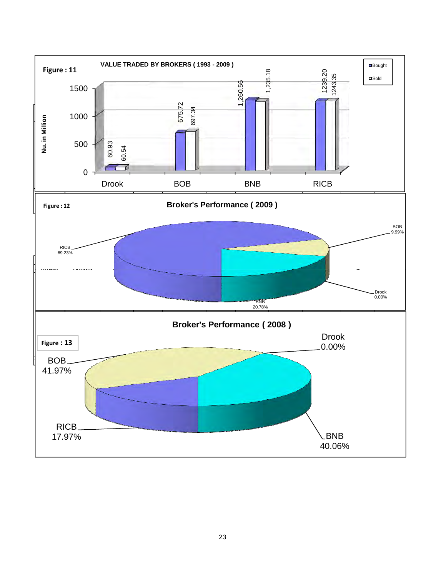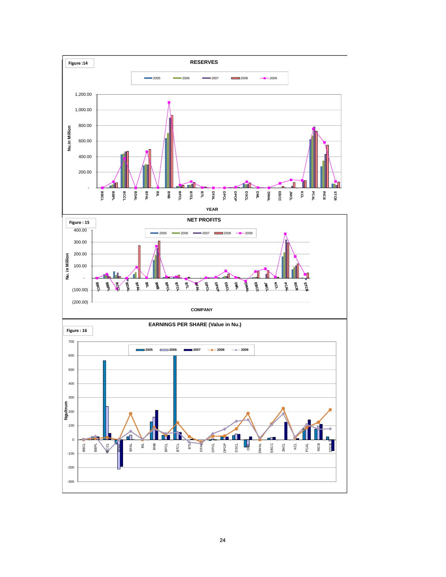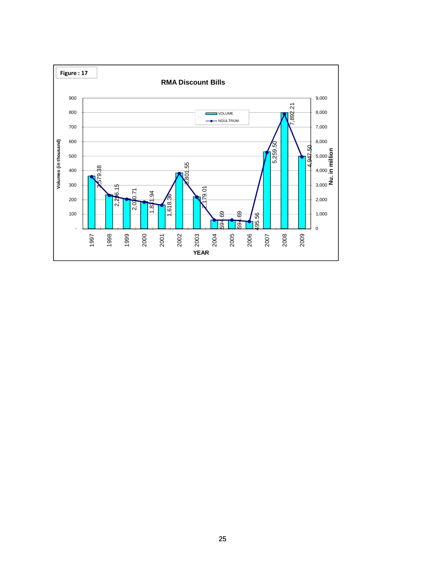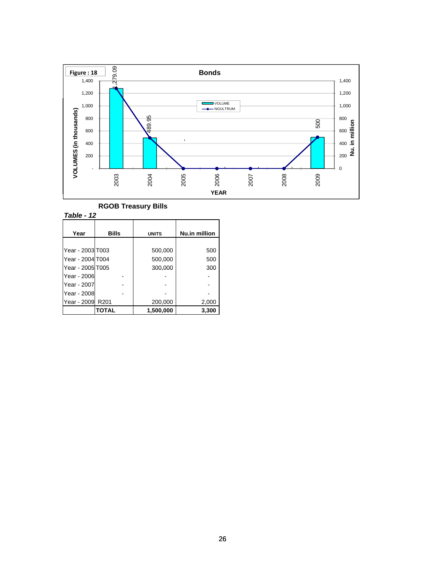

|  | <b>RGOB Treasury Bills</b> |  |
|--|----------------------------|--|
|--|----------------------------|--|

*Table - 12*

| Year             | Bills | <b>UNITS</b> | Nu.in million |
|------------------|-------|--------------|---------------|
|                  |       |              |               |
| Year - 2003 T003 |       | 500,000      | 500           |
| Year - 2004 T004 |       | 500,000      | 500           |
| Year - 2005 T005 |       | 300,000      | 300           |
| Year - 2006      |       |              |               |
| Year - 2007      |       |              |               |
| Year - 2008      |       |              |               |
| Year - 2009      | R201  | 200,000      | 2,000         |
|                  | TOTAL | 1,500,000    | 3,300         |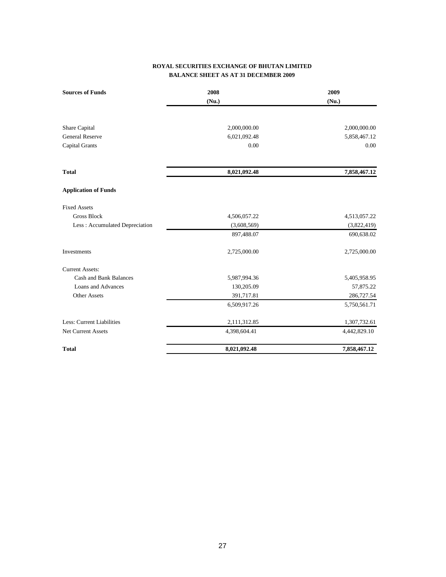#### **ROYAL SECURITIES EXCHANGE OF BHUTAN LIMITED BALANCE SHEET AS AT 31 DECEMBER 2009**

| <b>Sources of Funds</b>        | 2008         | 2009         |
|--------------------------------|--------------|--------------|
|                                | (Nu.)        | (Nu.)        |
|                                |              |              |
| Share Capital                  | 2,000,000.00 | 2,000,000.00 |
| <b>General Reserve</b>         | 6,021,092.48 | 5,858,467.12 |
| <b>Capital Grants</b>          | 0.00         | 0.00         |
| <b>Total</b>                   | 8,021,092.48 | 7,858,467.12 |
| <b>Application of Funds</b>    |              |              |
| <b>Fixed Assets</b>            |              |              |
| <b>Gross Block</b>             | 4,506,057.22 | 4,513,057.22 |
| Less: Accumulated Depreciation | (3,608,569)  | (3,822,419)  |
|                                | 897,488.07   | 690,638.02   |
| Investments                    | 2,725,000.00 | 2,725,000.00 |
| <b>Current Assets:</b>         |              |              |
| <b>Cash and Bank Balances</b>  | 5,987,994.36 | 5,405,958.95 |
| Loans and Advances             | 130,205.09   | 57,875.22    |
| Other Assets                   | 391,717.81   | 286,727.54   |
|                                | 6,509,917.26 | 5,750,561.71 |
| Less: Current Liabilities      | 2,111,312.85 | 1,307,732.61 |
| <b>Net Current Assets</b>      | 4,398,604.41 | 4,442,829.10 |
| <b>Total</b>                   | 8,021,092.48 | 7,858,467.12 |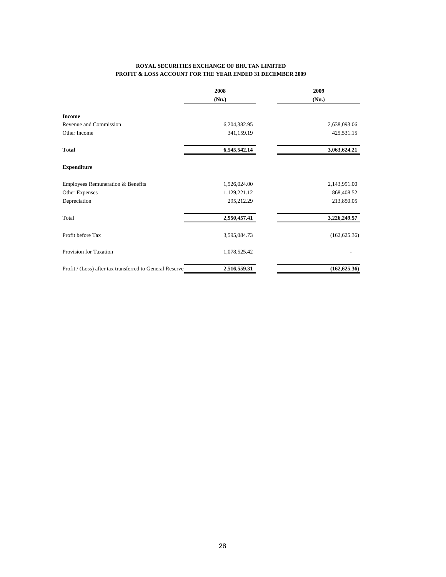#### **ROYAL SECURITIES EXCHANGE OF BHUTAN LIMITED PROFIT & LOSS ACCOUNT FOR THE YEAR ENDED 31 DECEMBER 2009**

|                                                          | 2008         | 2009          |  |
|----------------------------------------------------------|--------------|---------------|--|
|                                                          | (Nu.)        | (Nu.)         |  |
| <b>Income</b>                                            |              |               |  |
| Revenue and Commission                                   | 6,204,382.95 | 2,638,093.06  |  |
| Other Income                                             | 341,159.19   | 425,531.15    |  |
| <b>Total</b>                                             | 6,545,542.14 | 3,063,624.21  |  |
| <b>Expenditure</b>                                       |              |               |  |
| Employees Remuneration & Benefits                        | 1,526,024.00 | 2,143,991.00  |  |
| Other Expenses                                           | 1,129,221.12 | 868,408.52    |  |
| Depreciation                                             | 295,212.29   | 213,850.05    |  |
| Total                                                    | 2,950,457.41 | 3,226,249.57  |  |
| Profit before Tax                                        | 3,595,084.73 | (162, 625.36) |  |
| Provision for Taxation                                   | 1,078,525.42 |               |  |
| Profit / (Loss) after tax transferred to General Reserve | 2,516,559.31 | (162, 625.36) |  |